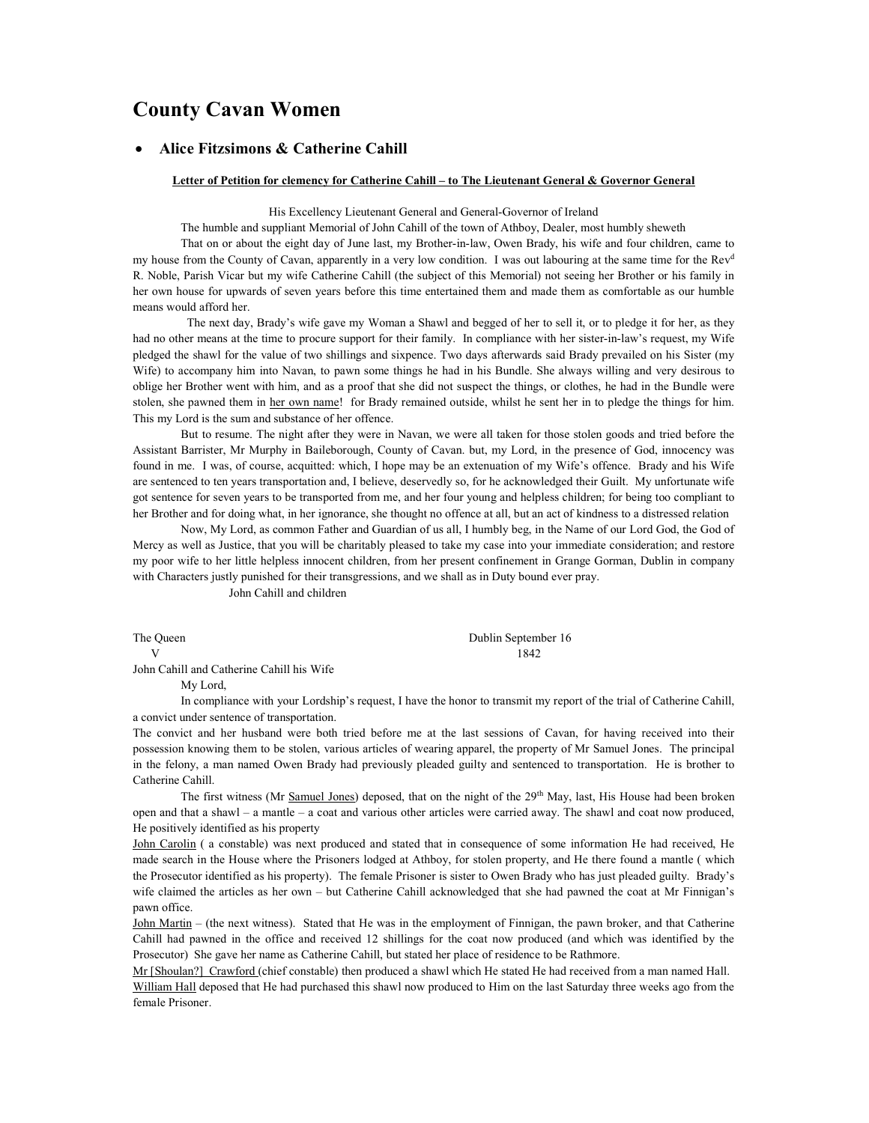# County Cavan Women

# Alice Fitzsimons & Catherine Cahill

#### Letter of Petition for clemency for Catherine Cahill – to The Lieutenant General & Governor General

His Excellency Lieutenant General and General-Governor of Ireland

The humble and suppliant Memorial of John Cahill of the town of Athboy, Dealer, most humbly sheweth

 That on or about the eight day of June last, my Brother-in-law, Owen Brady, his wife and four children, came to my house from the County of Cavan, apparently in a very low condition. I was out labouring at the same time for the Rev<sup>d</sup> R. Noble, Parish Vicar but my wife Catherine Cahill (the subject of this Memorial) not seeing her Brother or his family in her own house for upwards of seven years before this time entertained them and made them as comfortable as our humble means would afford her.

 The next day, Brady's wife gave my Woman a Shawl and begged of her to sell it, or to pledge it for her, as they had no other means at the time to procure support for their family. In compliance with her sister-in-law's request, my Wife pledged the shawl for the value of two shillings and sixpence. Two days afterwards said Brady prevailed on his Sister (my Wife) to accompany him into Navan, to pawn some things he had in his Bundle. She always willing and very desirous to oblige her Brother went with him, and as a proof that she did not suspect the things, or clothes, he had in the Bundle were stolen, she pawned them in her own name! for Brady remained outside, whilst he sent her in to pledge the things for him. This my Lord is the sum and substance of her offence.

But to resume. The night after they were in Navan, we were all taken for those stolen goods and tried before the Assistant Barrister, Mr Murphy in Baileborough, County of Cavan. but, my Lord, in the presence of God, innocency was found in me. I was, of course, acquitted: which, I hope may be an extenuation of my Wife's offence. Brady and his Wife are sentenced to ten years transportation and, I believe, deservedly so, for he acknowledged their Guilt. My unfortunate wife got sentence for seven years to be transported from me, and her four young and helpless children; for being too compliant to her Brother and for doing what, in her ignorance, she thought no offence at all, but an act of kindness to a distressed relation

Now, My Lord, as common Father and Guardian of us all, I humbly beg, in the Name of our Lord God, the God of Mercy as well as Justice, that you will be charitably pleased to take my case into your immediate consideration; and restore my poor wife to her little helpless innocent children, from her present confinement in Grange Gorman, Dublin in company with Characters justly punished for their transgressions, and we shall as in Duty bound ever pray.

John Cahill and children

The Queen Dublin September 16 V 1842

John Cahill and Catherine Cahill his Wife

My Lord,

 In compliance with your Lordship's request, I have the honor to transmit my report of the trial of Catherine Cahill, a convict under sentence of transportation.

The convict and her husband were both tried before me at the last sessions of Cavan, for having received into their possession knowing them to be stolen, various articles of wearing apparel, the property of Mr Samuel Jones. The principal in the felony, a man named Owen Brady had previously pleaded guilty and sentenced to transportation. He is brother to Catherine Cahill.

The first witness (Mr Samuel Jones) deposed, that on the night of the 29<sup>th</sup> May, last, His House had been broken open and that a shawl – a mantle – a coat and various other articles were carried away. The shawl and coat now produced, He positively identified as his property

John Carolin ( a constable) was next produced and stated that in consequence of some information He had received, He made search in the House where the Prisoners lodged at Athboy, for stolen property, and He there found a mantle ( which the Prosecutor identified as his property). The female Prisoner is sister to Owen Brady who has just pleaded guilty. Brady's wife claimed the articles as her own – but Catherine Cahill acknowledged that she had pawned the coat at Mr Finnigan's pawn office.

John Martin – (the next witness). Stated that He was in the employment of Finnigan, the pawn broker, and that Catherine Cahill had pawned in the office and received 12 shillings for the coat now produced (and which was identified by the Prosecutor) She gave her name as Catherine Cahill, but stated her place of residence to be Rathmore.

Mr [Shoulan?] Crawford (chief constable) then produced a shawl which He stated He had received from a man named Hall. William Hall deposed that He had purchased this shawl now produced to Him on the last Saturday three weeks ago from the female Prisoner.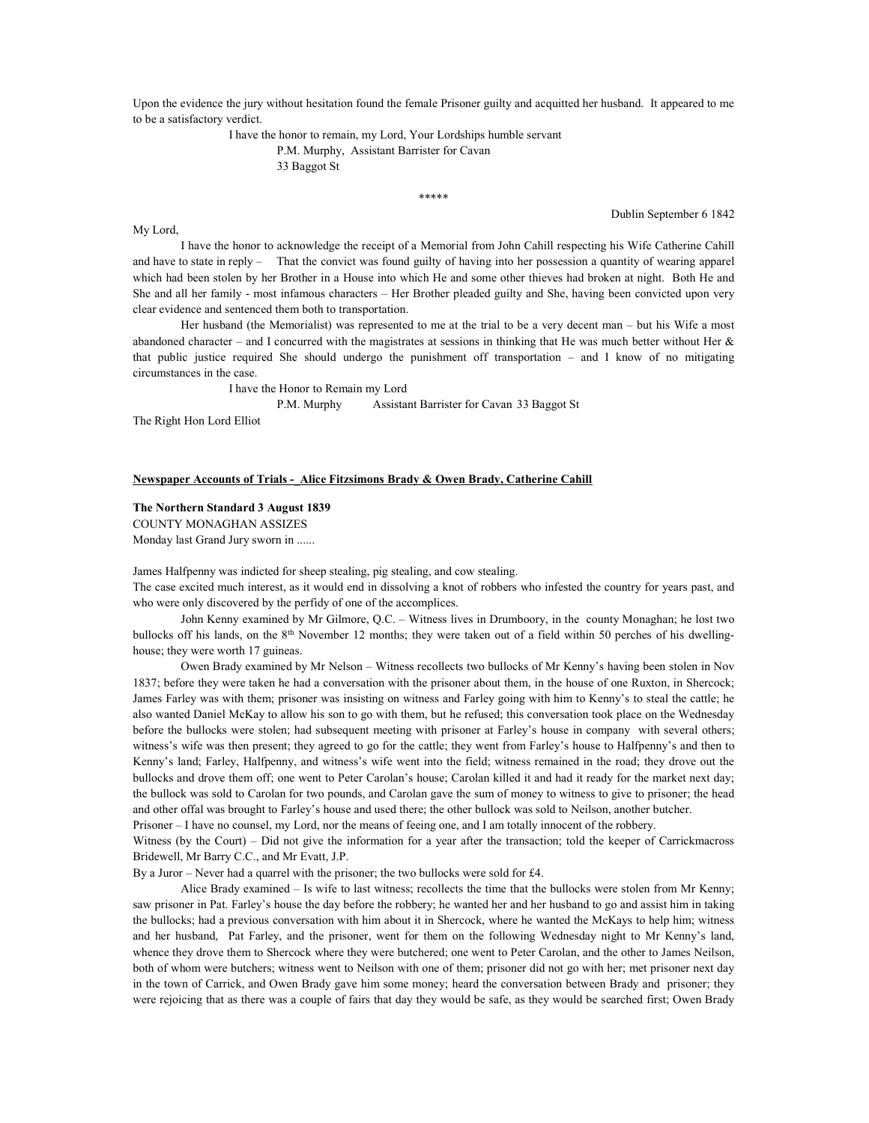Upon the evidence the jury without hesitation found the female Prisoner guilty and acquitted her husband. It appeared to me to be a satisfactory verdict.

I have the honor to remain, my Lord, Your Lordships humble servant

 P.M. Murphy, Assistant Barrister for Cavan 33 Baggot St

\*\*\*\*\*

Dublin September 6 1842

 I have the honor to acknowledge the receipt of a Memorial from John Cahill respecting his Wife Catherine Cahill and have to state in reply – That the convict was found guilty of having into her possession a quantity of wearing apparel which had been stolen by her Brother in a House into which He and some other thieves had broken at night. Both He and She and all her family - most infamous characters – Her Brother pleaded guilty and She, having been convicted upon very clear evidence and sentenced them both to transportation.

Her husband (the Memorialist) was represented to me at the trial to be a very decent man – but his Wife a most abandoned character – and I concurred with the magistrates at sessions in thinking that He was much better without Her  $\&$ that public justice required She should undergo the punishment off transportation – and I know of no mitigating circumstances in the case.

 I have the Honor to Remain my Lord P.M. Murphy Assistant Barrister for Cavan 33 Baggot St The Right Hon Lord Elliot

My Lord,

### Newspaper Accounts of Trials - Alice Fitzsimons Brady & Owen Brady, Catherine Cahill

#### The Northern Standard 3 August 1839

COUNTY MONAGHAN ASSIZES

Monday last Grand Jury sworn in ......

James Halfpenny was indicted for sheep stealing, pig stealing, and cow stealing.

The case excited much interest, as it would end in dissolving a knot of robbers who infested the country for years past, and who were only discovered by the perfidy of one of the accomplices.

 John Kenny examined by Mr Gilmore, Q.C. – Witness lives in Drumboory, in the county Monaghan; he lost two bullocks off his lands, on the  $8<sup>th</sup>$  November 12 months; they were taken out of a field within 50 perches of his dwellinghouse; they were worth 17 guineas.

 Owen Brady examined by Mr Nelson – Witness recollects two bullocks of Mr Kenny's having been stolen in Nov 1837; before they were taken he had a conversation with the prisoner about them, in the house of one Ruxton, in Shercock; James Farley was with them; prisoner was insisting on witness and Farley going with him to Kenny's to steal the cattle; he also wanted Daniel McKay to allow his son to go with them, but he refused; this conversation took place on the Wednesday before the bullocks were stolen; had subsequent meeting with prisoner at Farley's house in company with several others; witness's wife was then present; they agreed to go for the cattle; they went from Farley's house to Halfpenny's and then to Kenny's land; Farley, Halfpenny, and witness's wife went into the field; witness remained in the road; they drove out the bullocks and drove them off; one went to Peter Carolan's house; Carolan killed it and had it ready for the market next day; the bullock was sold to Carolan for two pounds, and Carolan gave the sum of money to witness to give to prisoner; the head and other offal was brought to Farley's house and used there; the other bullock was sold to Neilson, another butcher.

Prisoner – I have no counsel, my Lord, nor the means of feeing one, and I am totally innocent of the robbery.

Witness (by the Court) – Did not give the information for a year after the transaction; told the keeper of Carrickmacross Bridewell, Mr Barry C.C., and Mr Evatt, J.P.

By a Juror – Never had a quarrel with the prisoner; the two bullocks were sold for £4.

 Alice Brady examined – Is wife to last witness; recollects the time that the bullocks were stolen from Mr Kenny; saw prisoner in Pat. Farley's house the day before the robbery; he wanted her and her husband to go and assist him in taking the bullocks; had a previous conversation with him about it in Shercock, where he wanted the McKays to help him; witness and her husband, Pat Farley, and the prisoner, went for them on the following Wednesday night to Mr Kenny's land, whence they drove them to Shercock where they were butchered; one went to Peter Carolan, and the other to James Neilson, both of whom were butchers; witness went to Neilson with one of them; prisoner did not go with her; met prisoner next day in the town of Carrick, and Owen Brady gave him some money; heard the conversation between Brady and prisoner; they were rejoicing that as there was a couple of fairs that day they would be safe, as they would be searched first; Owen Brady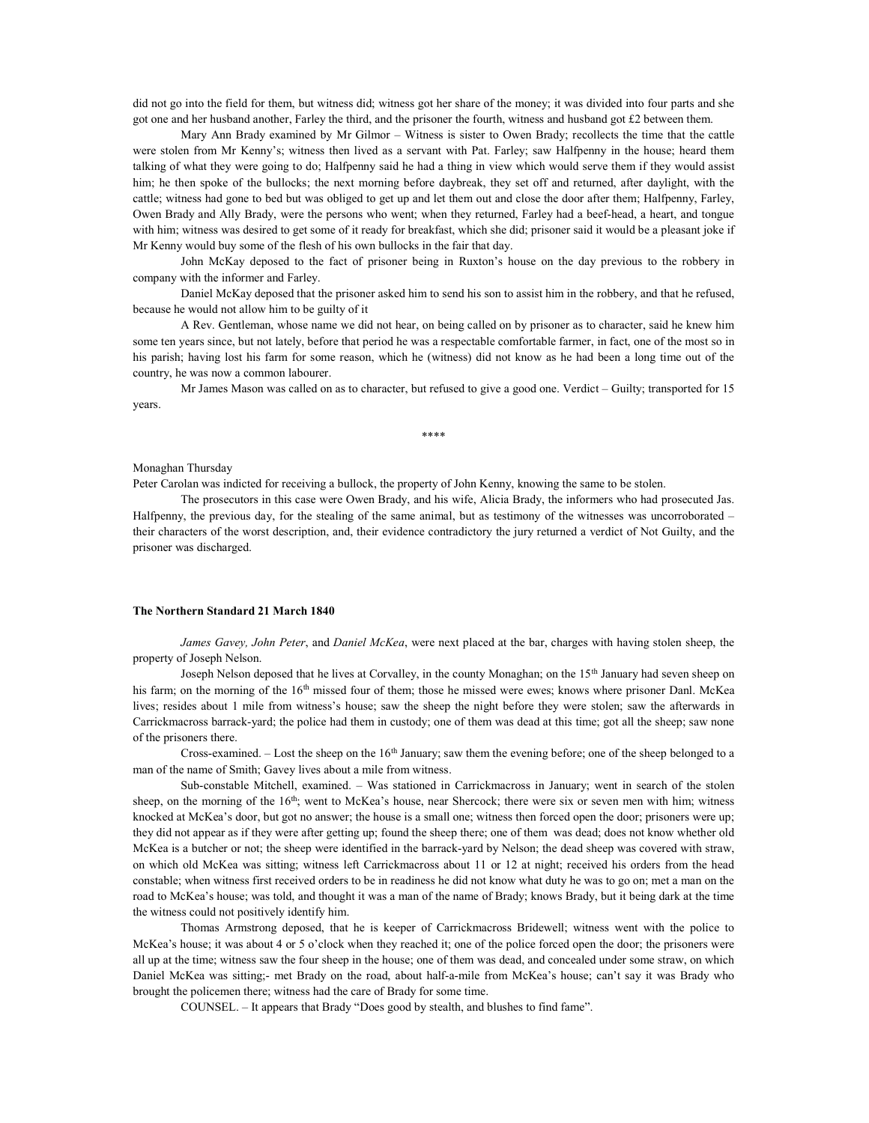did not go into the field for them, but witness did; witness got her share of the money; it was divided into four parts and she got one and her husband another, Farley the third, and the prisoner the fourth, witness and husband got £2 between them.

 Mary Ann Brady examined by Mr Gilmor – Witness is sister to Owen Brady; recollects the time that the cattle were stolen from Mr Kenny's; witness then lived as a servant with Pat. Farley; saw Halfpenny in the house; heard them talking of what they were going to do; Halfpenny said he had a thing in view which would serve them if they would assist him; he then spoke of the bullocks; the next morning before daybreak, they set off and returned, after daylight, with the cattle; witness had gone to bed but was obliged to get up and let them out and close the door after them; Halfpenny, Farley, Owen Brady and Ally Brady, were the persons who went; when they returned, Farley had a beef-head, a heart, and tongue with him; witness was desired to get some of it ready for breakfast, which she did; prisoner said it would be a pleasant joke if Mr Kenny would buy some of the flesh of his own bullocks in the fair that day.

 John McKay deposed to the fact of prisoner being in Ruxton's house on the day previous to the robbery in company with the informer and Farley.

 Daniel McKay deposed that the prisoner asked him to send his son to assist him in the robbery, and that he refused, because he would not allow him to be guilty of it

 A Rev. Gentleman, whose name we did not hear, on being called on by prisoner as to character, said he knew him some ten years since, but not lately, before that period he was a respectable comfortable farmer, in fact, one of the most so in his parish; having lost his farm for some reason, which he (witness) did not know as he had been a long time out of the country, he was now a common labourer.

 Mr James Mason was called on as to character, but refused to give a good one. Verdict – Guilty; transported for 15 years.

\*\*\*\*

#### Monaghan Thursday

Peter Carolan was indicted for receiving a bullock, the property of John Kenny, knowing the same to be stolen.

 The prosecutors in this case were Owen Brady, and his wife, Alicia Brady, the informers who had prosecuted Jas. Halfpenny, the previous day, for the stealing of the same animal, but as testimony of the witnesses was uncorroborated – their characters of the worst description, and, their evidence contradictory the jury returned a verdict of Not Guilty, and the prisoner was discharged.

### The Northern Standard 21 March 1840

James Gavey, John Peter, and Daniel McKea, were next placed at the bar, charges with having stolen sheep, the property of Joseph Nelson.

 Joseph Nelson deposed that he lives at Corvalley, in the county Monaghan; on the 15th January had seven sheep on his farm; on the morning of the 16<sup>th</sup> missed four of them; those he missed were ewes; knows where prisoner Danl. McKea lives; resides about 1 mile from witness's house; saw the sheep the night before they were stolen; saw the afterwards in Carrickmacross barrack-yard; the police had them in custody; one of them was dead at this time; got all the sheep; saw none of the prisoners there.

Cross-examined.  $-$  Lost the sheep on the 16<sup>th</sup> January; saw them the evening before; one of the sheep belonged to a man of the name of Smith; Gavey lives about a mile from witness.

 Sub-constable Mitchell, examined. – Was stationed in Carrickmacross in January; went in search of the stolen sheep, on the morning of the  $16<sup>th</sup>$ ; went to McKea's house, near Shercock; there were six or seven men with him; witness knocked at McKea's door, but got no answer; the house is a small one; witness then forced open the door; prisoners were up; they did not appear as if they were after getting up; found the sheep there; one of them was dead; does not know whether old McKea is a butcher or not; the sheep were identified in the barrack-yard by Nelson; the dead sheep was covered with straw, on which old McKea was sitting; witness left Carrickmacross about 11 or 12 at night; received his orders from the head constable; when witness first received orders to be in readiness he did not know what duty he was to go on; met a man on the road to McKea's house; was told, and thought it was a man of the name of Brady; knows Brady, but it being dark at the time the witness could not positively identify him.

 Thomas Armstrong deposed, that he is keeper of Carrickmacross Bridewell; witness went with the police to McKea's house; it was about 4 or 5 o'clock when they reached it; one of the police forced open the door; the prisoners were all up at the time; witness saw the four sheep in the house; one of them was dead, and concealed under some straw, on which Daniel McKea was sitting;- met Brady on the road, about half-a-mile from McKea's house; can't say it was Brady who brought the policemen there; witness had the care of Brady for some time.

COUNSEL. – It appears that Brady "Does good by stealth, and blushes to find fame".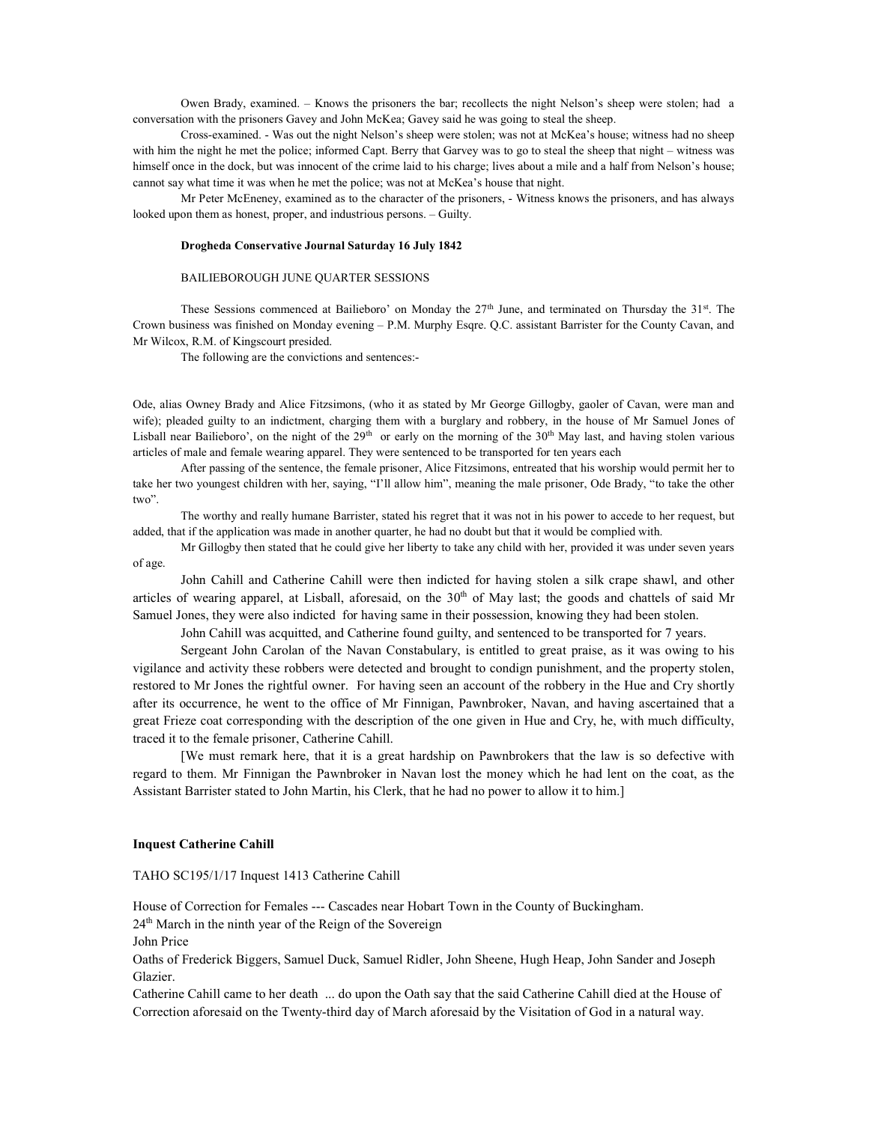Owen Brady, examined. – Knows the prisoners the bar; recollects the night Nelson's sheep were stolen; had a conversation with the prisoners Gavey and John McKea; Gavey said he was going to steal the sheep.

 Cross-examined. - Was out the night Nelson's sheep were stolen; was not at McKea's house; witness had no sheep with him the night he met the police; informed Capt. Berry that Garvey was to go to steal the sheep that night – witness was himself once in the dock, but was innocent of the crime laid to his charge; lives about a mile and a half from Nelson's house; cannot say what time it was when he met the police; was not at McKea's house that night.

 Mr Peter McEneney, examined as to the character of the prisoners, - Witness knows the prisoners, and has always looked upon them as honest, proper, and industrious persons. – Guilty.

#### Drogheda Conservative Journal Saturday 16 July 1842

#### BAILIEBOROUGH JUNE QUARTER SESSIONS

These Sessions commenced at Bailieboro' on Monday the  $27<sup>th</sup>$  June, and terminated on Thursday the  $31<sup>st</sup>$ . The Crown business was finished on Monday evening – P.M. Murphy Esqre. Q.C. assistant Barrister for the County Cavan, and Mr Wilcox, R.M. of Kingscourt presided.

The following are the convictions and sentences:-

Ode, alias Owney Brady and Alice Fitzsimons, (who it as stated by Mr George Gillogby, gaoler of Cavan, were man and wife); pleaded guilty to an indictment, charging them with a burglary and robbery, in the house of Mr Samuel Jones of Lisball near Bailieboro', on the night of the  $29<sup>th</sup>$  or early on the morning of the  $30<sup>th</sup>$  May last, and having stolen various articles of male and female wearing apparel. They were sentenced to be transported for ten years each

 After passing of the sentence, the female prisoner, Alice Fitzsimons, entreated that his worship would permit her to take her two youngest children with her, saying, "I'll allow him", meaning the male prisoner, Ode Brady, "to take the other two".

 The worthy and really humane Barrister, stated his regret that it was not in his power to accede to her request, but added, that if the application was made in another quarter, he had no doubt but that it would be complied with.

 Mr Gillogby then stated that he could give her liberty to take any child with her, provided it was under seven years of age.

 John Cahill and Catherine Cahill were then indicted for having stolen a silk crape shawl, and other articles of wearing apparel, at Lisball, aforesaid, on the  $30<sup>th</sup>$  of May last; the goods and chattels of said Mr Samuel Jones, they were also indicted for having same in their possession, knowing they had been stolen.

John Cahill was acquitted, and Catherine found guilty, and sentenced to be transported for 7 years.

 Sergeant John Carolan of the Navan Constabulary, is entitled to great praise, as it was owing to his vigilance and activity these robbers were detected and brought to condign punishment, and the property stolen, restored to Mr Jones the rightful owner. For having seen an account of the robbery in the Hue and Cry shortly after its occurrence, he went to the office of Mr Finnigan, Pawnbroker, Navan, and having ascertained that a great Frieze coat corresponding with the description of the one given in Hue and Cry, he, with much difficulty, traced it to the female prisoner, Catherine Cahill.

 [We must remark here, that it is a great hardship on Pawnbrokers that the law is so defective with regard to them. Mr Finnigan the Pawnbroker in Navan lost the money which he had lent on the coat, as the Assistant Barrister stated to John Martin, his Clerk, that he had no power to allow it to him.]

#### Inquest Catherine Cahill

TAHO SC195/1/17 Inquest 1413 Catherine Cahill

House of Correction for Females --- Cascades near Hobart Town in the County of Buckingham.

24<sup>th</sup> March in the ninth year of the Reign of the Sovereign

John Price

Oaths of Frederick Biggers, Samuel Duck, Samuel Ridler, John Sheene, Hugh Heap, John Sander and Joseph Glazier.

Catherine Cahill came to her death ... do upon the Oath say that the said Catherine Cahill died at the House of Correction aforesaid on the Twenty-third day of March aforesaid by the Visitation of God in a natural way.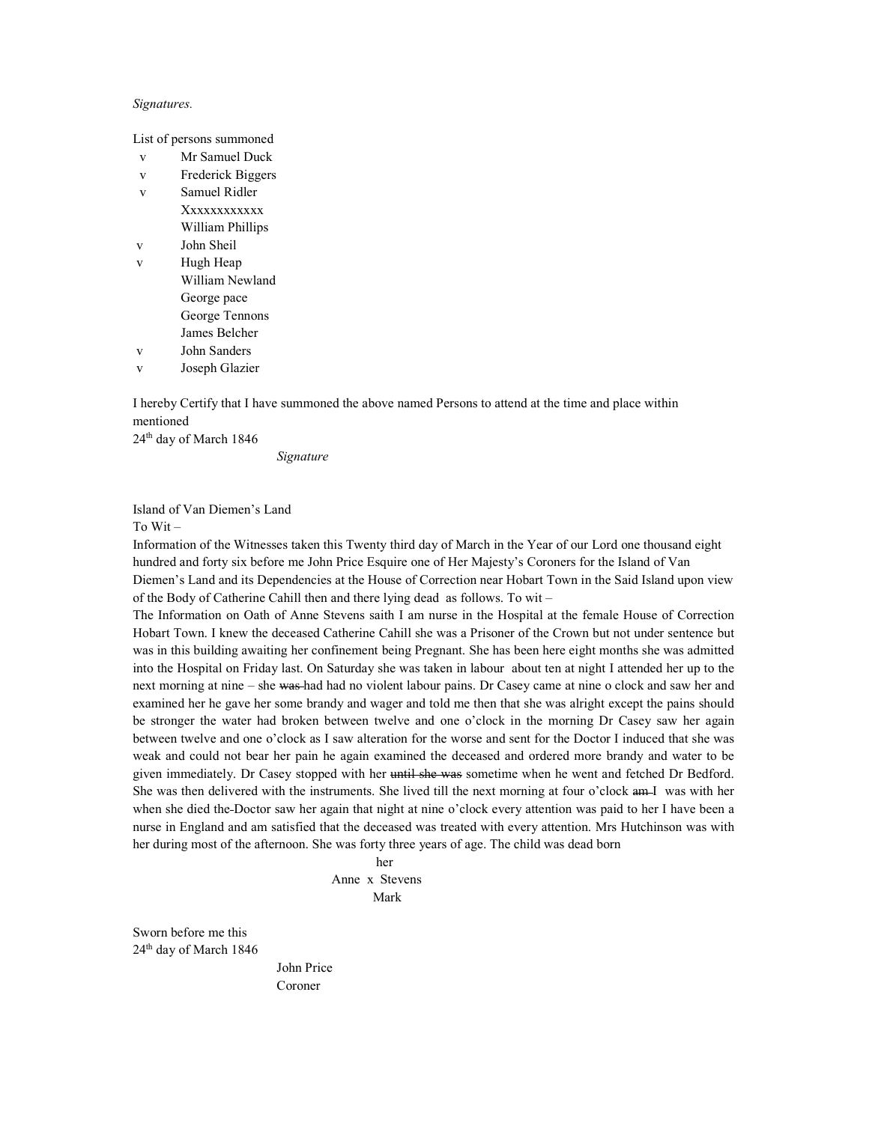### Signatures.

List of persons summoned

- v Mr Samuel Duck
- v Frederick Biggers
- v Samuel Ridler Xxxxxxxxxxx William Phillips
- v John Sheil
- v Hugh Heap William Newland George pace George Tennons James Belcher
- v John Sanders
- v Joseph Glazier

I hereby Certify that I have summoned the above named Persons to attend at the time and place within mentioned

24th day of March 1846

Signature

# Island of Van Diemen's Land

To Wit –

Information of the Witnesses taken this Twenty third day of March in the Year of our Lord one thousand eight hundred and forty six before me John Price Esquire one of Her Majesty's Coroners for the Island of Van Diemen's Land and its Dependencies at the House of Correction near Hobart Town in the Said Island upon view of the Body of Catherine Cahill then and there lying dead as follows. To wit –

The Information on Oath of Anne Stevens saith I am nurse in the Hospital at the female House of Correction Hobart Town. I knew the deceased Catherine Cahill she was a Prisoner of the Crown but not under sentence but was in this building awaiting her confinement being Pregnant. She has been here eight months she was admitted into the Hospital on Friday last. On Saturday she was taken in labour about ten at night I attended her up to the next morning at nine – she was had had no violent labour pains. Dr Casey came at nine o clock and saw her and examined her he gave her some brandy and wager and told me then that she was alright except the pains should be stronger the water had broken between twelve and one o'clock in the morning Dr Casey saw her again between twelve and one o'clock as I saw alteration for the worse and sent for the Doctor I induced that she was weak and could not bear her pain he again examined the deceased and ordered more brandy and water to be given immediately. Dr Casey stopped with her until she was sometime when he went and fetched Dr Bedford. She was then delivered with the instruments. She lived till the next morning at four o'clock am I was with her when she died the Doctor saw her again that night at nine o'clock every attention was paid to her I have been a nurse in England and am satisfied that the deceased was treated with every attention. Mrs Hutchinson was with her during most of the afternoon. She was forty three years of age. The child was dead born

her and the state of the state of the state of the state of the state of the state of the state of the state of the state of the state of the state of the state of the state of the state of the state of the state of the st Anne x Stevens Mark

Sworn before me this 24th day of March 1846

 John Price Coroner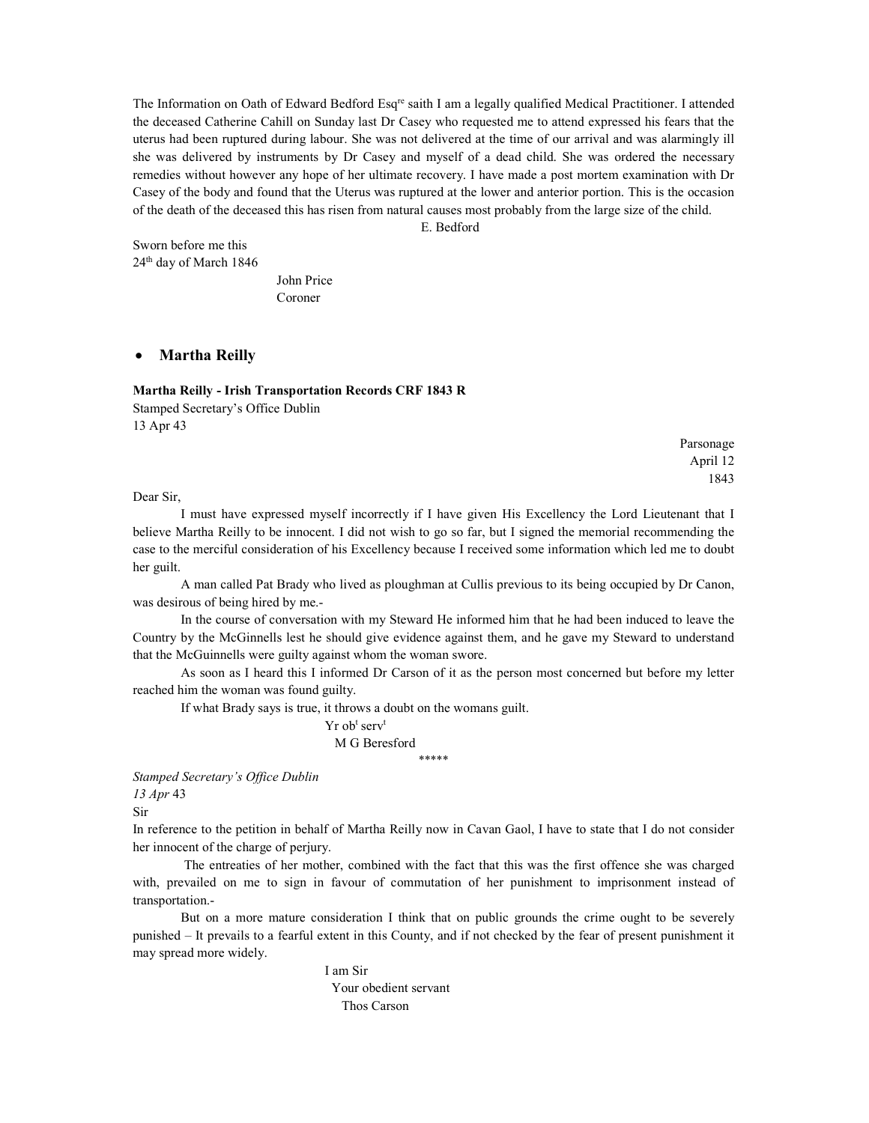The Information on Oath of Edward Bedford Esqre saith I am a legally qualified Medical Practitioner. I attended the deceased Catherine Cahill on Sunday last Dr Casey who requested me to attend expressed his fears that the uterus had been ruptured during labour. She was not delivered at the time of our arrival and was alarmingly ill she was delivered by instruments by Dr Casey and myself of a dead child. She was ordered the necessary remedies without however any hope of her ultimate recovery. I have made a post mortem examination with Dr Casey of the body and found that the Uterus was ruptured at the lower and anterior portion. This is the occasion of the death of the deceased this has risen from natural causes most probably from the large size of the child.

E. Bedford

Sworn before me this 24th day of March 1846

> John Price Coroner

# • Martha Reilly

Martha Reilly - Irish Transportation Records CRF 1843 R

Stamped Secretary's Office Dublin 13 Apr 43

Parsonage April 12 1843

Dear Sir,

 I must have expressed myself incorrectly if I have given His Excellency the Lord Lieutenant that I believe Martha Reilly to be innocent. I did not wish to go so far, but I signed the memorial recommending the case to the merciful consideration of his Excellency because I received some information which led me to doubt her guilt.

 A man called Pat Brady who lived as ploughman at Cullis previous to its being occupied by Dr Canon, was desirous of being hired by me.-

 In the course of conversation with my Steward He informed him that he had been induced to leave the Country by the McGinnells lest he should give evidence against them, and he gave my Steward to understand that the McGuinnells were guilty against whom the woman swore.

 As soon as I heard this I informed Dr Carson of it as the person most concerned but before my letter reached him the woman was found guilty.

If what Brady says is true, it throws a doubt on the womans guilt.

 $Yr$  obt serv<sup>t</sup> M G Beresford \*\*\*\*\*

Stamped Secretary's Office Dublin 13 Apr 43

Sir

In reference to the petition in behalf of Martha Reilly now in Cavan Gaol, I have to state that I do not consider her innocent of the charge of perjury.

 The entreaties of her mother, combined with the fact that this was the first offence she was charged with, prevailed on me to sign in favour of commutation of her punishment to imprisonment instead of transportation.-

 But on a more mature consideration I think that on public grounds the crime ought to be severely punished – It prevails to a fearful extent in this County, and if not checked by the fear of present punishment it may spread more widely.

> I am Sir Your obedient servant Thos Carson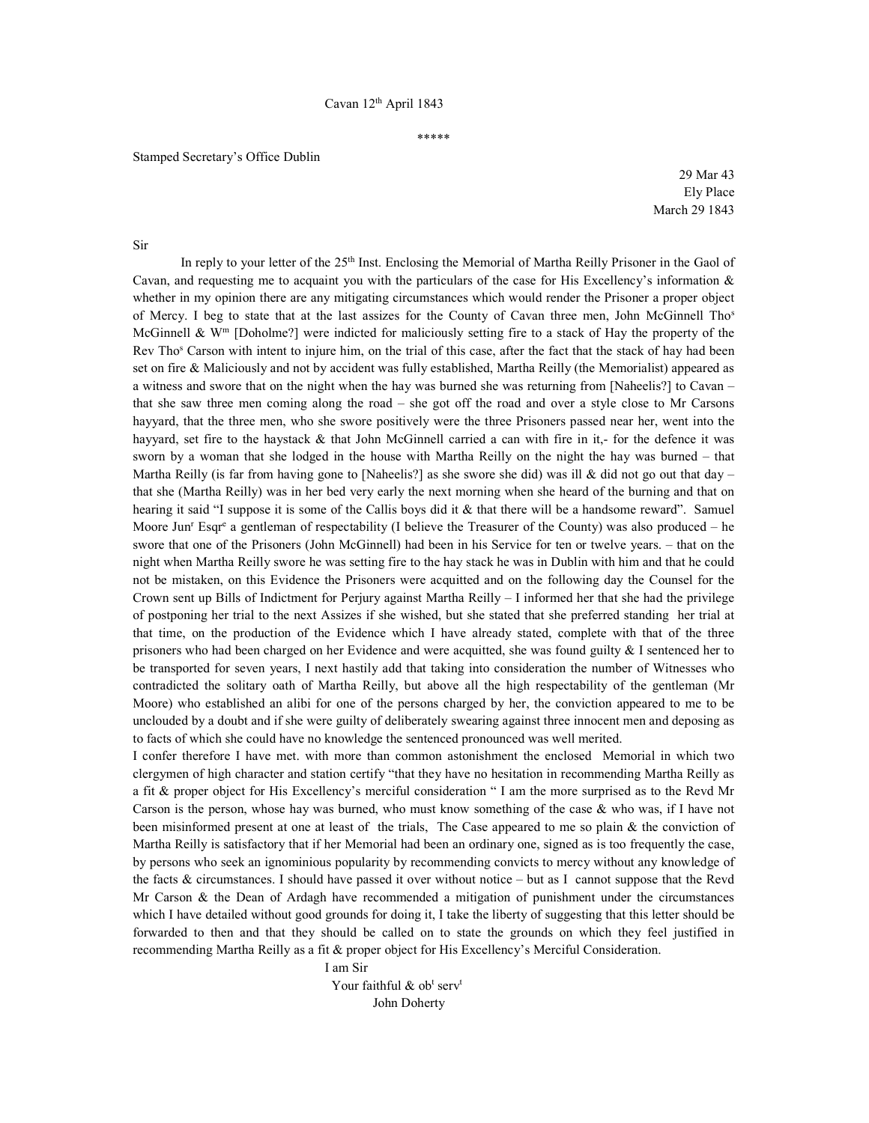## \*\*\*\*\*

## Stamped Secretary's Office Dublin

29 Mar 43 Ely Place March 29 1843

Sir

In reply to your letter of the 25<sup>th</sup> Inst. Enclosing the Memorial of Martha Reilly Prisoner in the Gaol of Cavan, and requesting me to acquaint you with the particulars of the case for His Excellency's information  $\&$ whether in my opinion there are any mitigating circumstances which would render the Prisoner a proper object of Mercy. I beg to state that at the last assizes for the County of Cavan three men, John McGinnell Tho<sup>s</sup> McGinnell &  $W<sup>m</sup>$  [Doholme?] were indicted for maliciously setting fire to a stack of Hay the property of the Rev Tho<sup>s</sup> Carson with intent to injure him, on the trial of this case, after the fact that the stack of hay had been set on fire & Maliciously and not by accident was fully established, Martha Reilly (the Memorialist) appeared as a witness and swore that on the night when the hay was burned she was returning from [Naheelis?] to Cavan – that she saw three men coming along the road – she got off the road and over a style close to Mr Carsons hayyard, that the three men, who she swore positively were the three Prisoners passed near her, went into the hayyard, set fire to the haystack & that John McGinnell carried a can with fire in it,- for the defence it was sworn by a woman that she lodged in the house with Martha Reilly on the night the hay was burned – that Martha Reilly (is far from having gone to [Naheelis?] as she swore she did) was ill & did not go out that day that she (Martha Reilly) was in her bed very early the next morning when she heard of the burning and that on hearing it said "I suppose it is some of the Callis boys did it & that there will be a handsome reward". Samuel Moore Jun<sup>r</sup> Esqr<sup>e</sup> a gentleman of respectability (I believe the Treasurer of the County) was also produced – he swore that one of the Prisoners (John McGinnell) had been in his Service for ten or twelve years. – that on the night when Martha Reilly swore he was setting fire to the hay stack he was in Dublin with him and that he could not be mistaken, on this Evidence the Prisoners were acquitted and on the following day the Counsel for the Crown sent up Bills of Indictment for Perjury against Martha Reilly – I informed her that she had the privilege of postponing her trial to the next Assizes if she wished, but she stated that she preferred standing her trial at that time, on the production of the Evidence which I have already stated, complete with that of the three prisoners who had been charged on her Evidence and were acquitted, she was found guilty  $\&$  I sentenced her to be transported for seven years, I next hastily add that taking into consideration the number of Witnesses who contradicted the solitary oath of Martha Reilly, but above all the high respectability of the gentleman (Mr Moore) who established an alibi for one of the persons charged by her, the conviction appeared to me to be unclouded by a doubt and if she were guilty of deliberately swearing against three innocent men and deposing as to facts of which she could have no knowledge the sentenced pronounced was well merited.

I confer therefore I have met. with more than common astonishment the enclosed Memorial in which two clergymen of high character and station certify "that they have no hesitation in recommending Martha Reilly as a fit & proper object for His Excellency's merciful consideration " I am the more surprised as to the Revd Mr Carson is the person, whose hay was burned, who must know something of the case  $\&$  who was, if I have not been misinformed present at one at least of the trials, The Case appeared to me so plain & the conviction of Martha Reilly is satisfactory that if her Memorial had been an ordinary one, signed as is too frequently the case, by persons who seek an ignominious popularity by recommending convicts to mercy without any knowledge of the facts & circumstances. I should have passed it over without notice – but as I cannot suppose that the Revd Mr Carson & the Dean of Ardagh have recommended a mitigation of punishment under the circumstances which I have detailed without good grounds for doing it, I take the liberty of suggesting that this letter should be forwarded to then and that they should be called on to state the grounds on which they feel justified in recommending Martha Reilly as a fit & proper object for His Excellency's Merciful Consideration.

 I am Sir Your faithful  $\&$  obt serv<sup>t</sup> John Doherty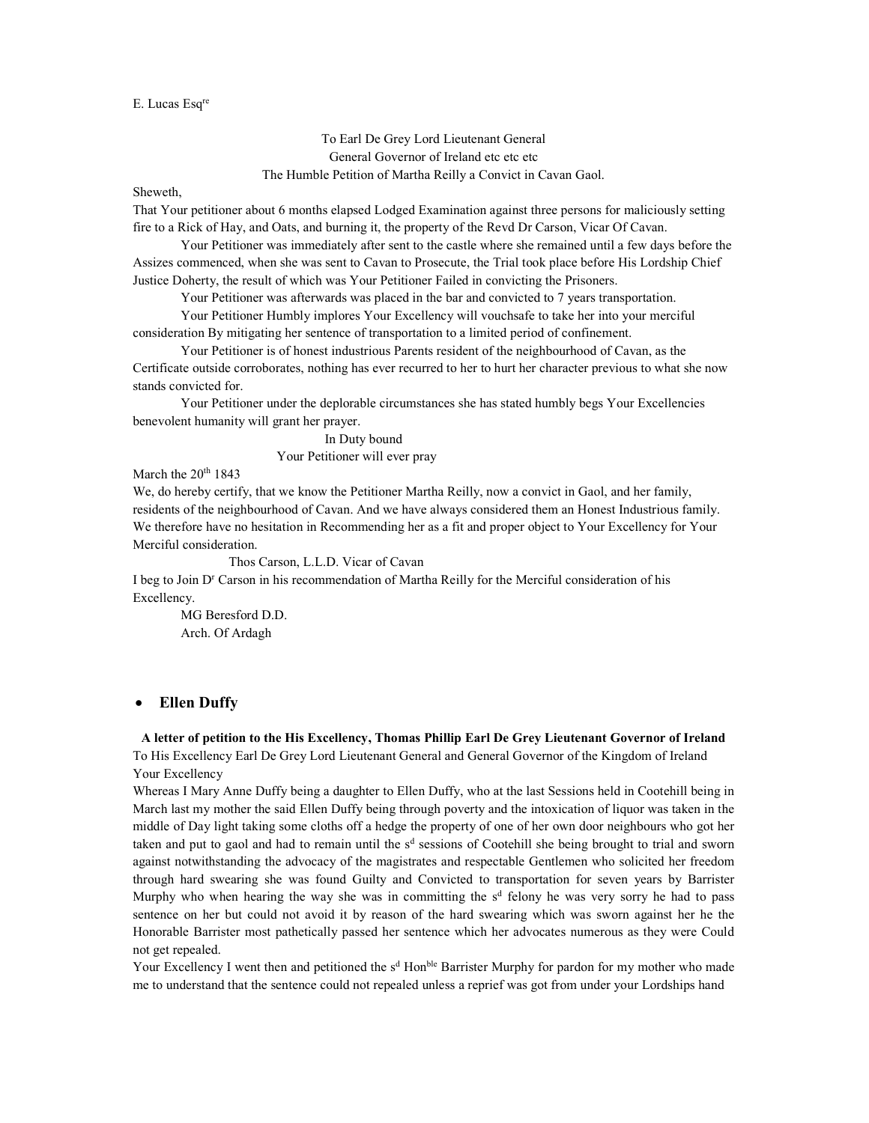### E. Lucas Esqre

To Earl De Grey Lord Lieutenant General General Governor of Ireland etc etc etc The Humble Petition of Martha Reilly a Convict in Cavan Gaol.

Sheweth,

That Your petitioner about 6 months elapsed Lodged Examination against three persons for maliciously setting fire to a Rick of Hay, and Oats, and burning it, the property of the Revd Dr Carson, Vicar Of Cavan.

 Your Petitioner was immediately after sent to the castle where she remained until a few days before the Assizes commenced, when she was sent to Cavan to Prosecute, the Trial took place before His Lordship Chief Justice Doherty, the result of which was Your Petitioner Failed in convicting the Prisoners.

Your Petitioner was afterwards was placed in the bar and convicted to 7 years transportation.

 Your Petitioner Humbly implores Your Excellency will vouchsafe to take her into your merciful consideration By mitigating her sentence of transportation to a limited period of confinement.

 Your Petitioner is of honest industrious Parents resident of the neighbourhood of Cavan, as the Certificate outside corroborates, nothing has ever recurred to her to hurt her character previous to what she now stands convicted for.

 Your Petitioner under the deplorable circumstances she has stated humbly begs Your Excellencies benevolent humanity will grant her prayer.

In Duty bound

Your Petitioner will ever pray

March the 20<sup>th</sup> 1843

We, do hereby certify, that we know the Petitioner Martha Reilly, now a convict in Gaol, and her family, residents of the neighbourhood of Cavan. And we have always considered them an Honest Industrious family. We therefore have no hesitation in Recommending her as a fit and proper object to Your Excellency for Your Merciful consideration.

Thos Carson, L.L.D. Vicar of Cavan

I beg to Join D<sup>r</sup> Carson in his recommendation of Martha Reilly for the Merciful consideration of his Excellency.

 MG Beresford D.D. Arch. Of Ardagh

# Ellen Duffy

A letter of petition to the His Excellency, Thomas Phillip Earl De Grey Lieutenant Governor of Ireland To His Excellency Earl De Grey Lord Lieutenant General and General Governor of the Kingdom of Ireland Your Excellency

Whereas I Mary Anne Duffy being a daughter to Ellen Duffy, who at the last Sessions held in Cootehill being in March last my mother the said Ellen Duffy being through poverty and the intoxication of liquor was taken in the middle of Day light taking some cloths off a hedge the property of one of her own door neighbours who got her taken and put to gaol and had to remain until the  $s<sup>d</sup>$  sessions of Cootehill she being brought to trial and sworn against notwithstanding the advocacy of the magistrates and respectable Gentlemen who solicited her freedom through hard swearing she was found Guilty and Convicted to transportation for seven years by Barrister Murphy who when hearing the way she was in committing the  $s<sup>d</sup>$  felony he was very sorry he had to pass sentence on her but could not avoid it by reason of the hard swearing which was sworn against her he the Honorable Barrister most pathetically passed her sentence which her advocates numerous as they were Could not get repealed.

Your Excellency I went then and petitioned the s<sup>d</sup> Hon<sup>ble</sup> Barrister Murphy for pardon for my mother who made me to understand that the sentence could not repealed unless a reprief was got from under your Lordships hand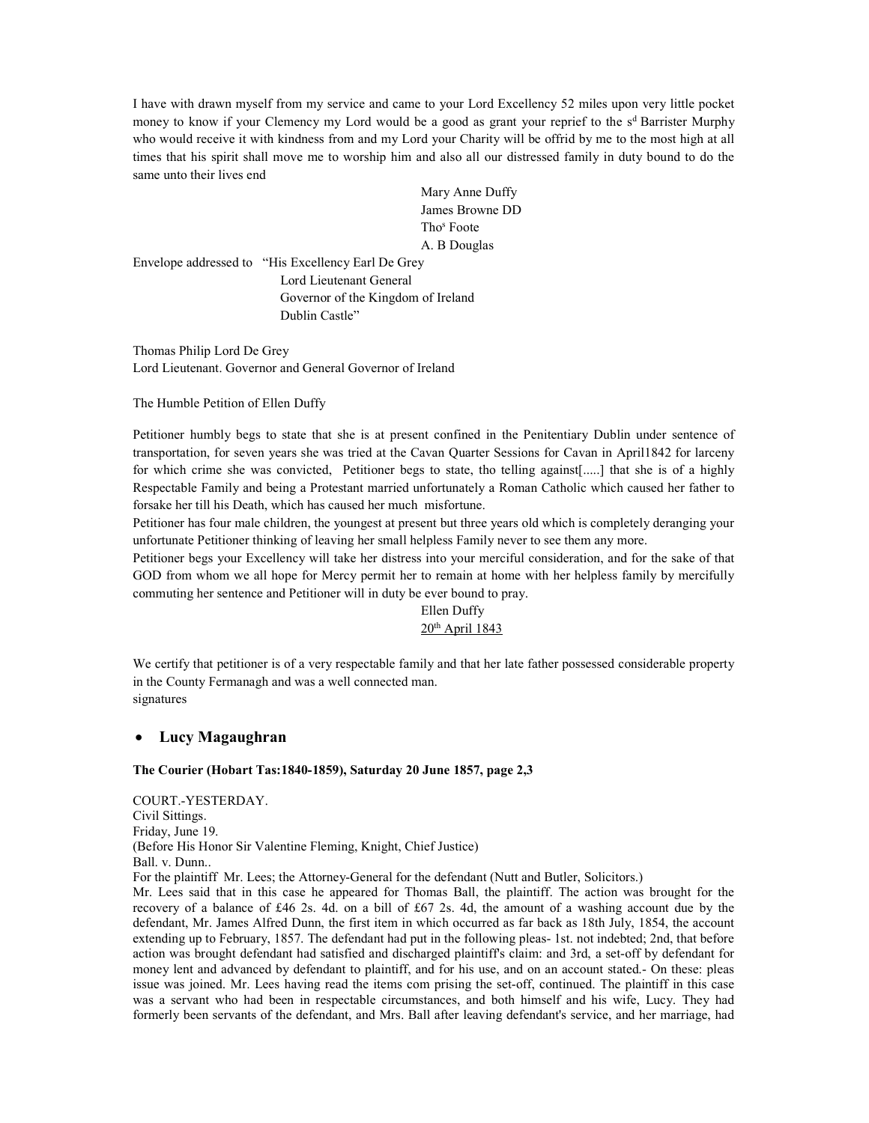I have with drawn myself from my service and came to your Lord Excellency 52 miles upon very little pocket money to know if your Clemency my Lord would be a good as grant your reprief to the  $s<sup>d</sup>$  Barrister Murphy who would receive it with kindness from and my Lord your Charity will be offrid by me to the most high at all times that his spirit shall move me to worship him and also all our distressed family in duty bound to do the same unto their lives end

 Mary Anne Duffy James Browne DD Tho<sup>s</sup> Tho<sup>s</sup> Foote A. B Douglas

Envelope addressed to "His Excellency Earl De Grey Lord Lieutenant General Governor of the Kingdom of Ireland Dublin Castle"

Thomas Philip Lord De Grey Lord Lieutenant. Governor and General Governor of Ireland

The Humble Petition of Ellen Duffy

Petitioner humbly begs to state that she is at present confined in the Penitentiary Dublin under sentence of transportation, for seven years she was tried at the Cavan Quarter Sessions for Cavan in April1842 for larceny for which crime she was convicted, Petitioner begs to state, tho telling against[.....] that she is of a highly Respectable Family and being a Protestant married unfortunately a Roman Catholic which caused her father to forsake her till his Death, which has caused her much misfortune.

Petitioner has four male children, the youngest at present but three years old which is completely deranging your unfortunate Petitioner thinking of leaving her small helpless Family never to see them any more.

Petitioner begs your Excellency will take her distress into your merciful consideration, and for the sake of that GOD from whom we all hope for Mercy permit her to remain at home with her helpless family by mercifully commuting her sentence and Petitioner will in duty be ever bound to pray.

# Ellen Duffy 20<sup>th</sup> April 1843

We certify that petitioner is of a very respectable family and that her late father possessed considerable property in the County Fermanagh and was a well connected man. signatures

# Lucy Magaughran

# The Courier (Hobart Tas:1840-1859), Saturday 20 June 1857, page 2,3

COURT.-YESTERDAY. Civil Sittings. Friday, June 19. (Before His Honor Sir Valentine Fleming, Knight, Chief Justice) Ball. v. Dunn.. For the plaintiff Mr. Lees; the Attorney-General for the defendant (Nutt and Butler, Solicitors.) Mr. Lees said that in this case he appeared for Thomas Ball, the plaintiff. The action was brought for the recovery of a balance of £46 2s. 4d. on a bill of £67 2s. 4d, the amount of a washing account due by the defendant, Mr. James Alfred Dunn, the first item in which occurred as far back as 18th July, 1854, the account extending up to February, 1857. The defendant had put in the following pleas- 1st. not indebted; 2nd, that before action was brought defendant had satisfied and discharged plaintiff's claim: and 3rd, a set-off by defendant for money lent and advanced by defendant to plaintiff, and for his use, and on an account stated.- On these: pleas issue was joined. Mr. Lees having read the items com prising the set-off, continued. The plaintiff in this case was a servant who had been in respectable circumstances, and both himself and his wife, Lucy. They had formerly been servants of the defendant, and Mrs. Ball after leaving defendant's service, and her marriage, had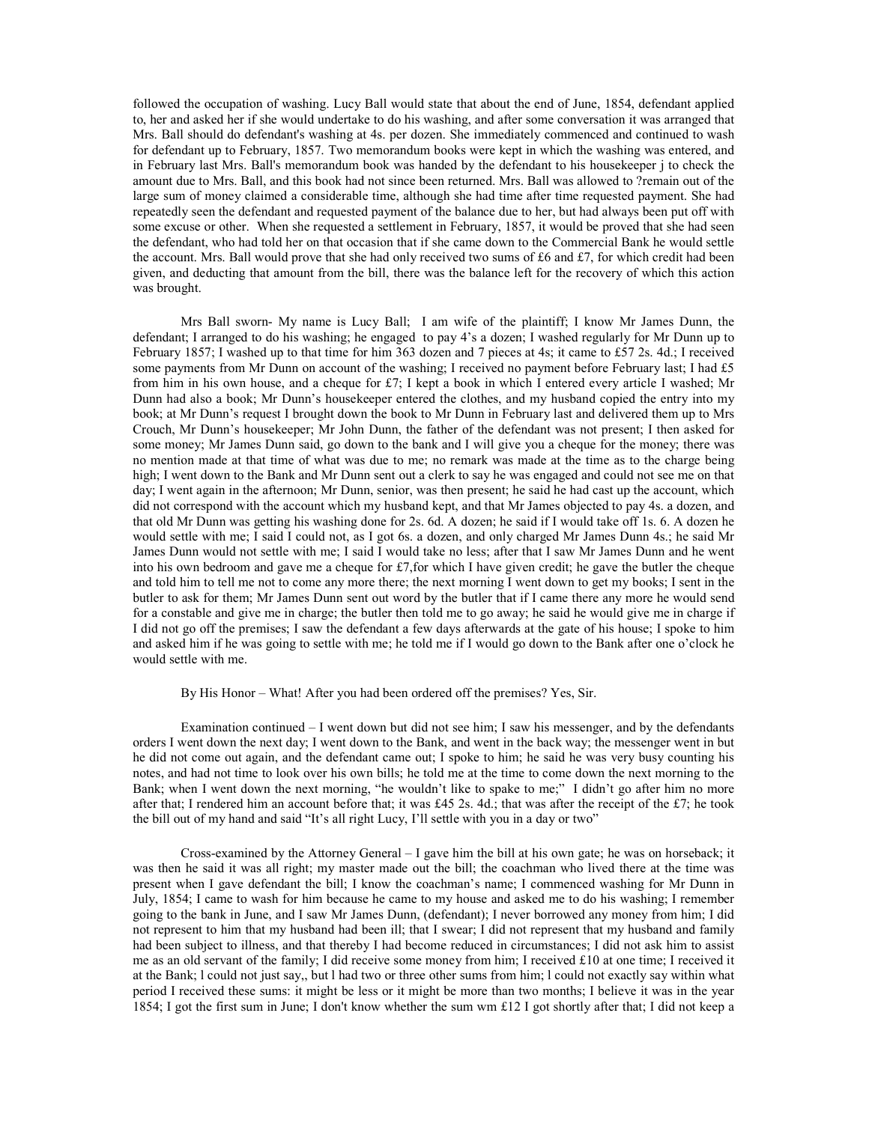followed the occupation of washing. Lucy Ball would state that about the end of June, 1854, defendant applied to, her and asked her if she would undertake to do his washing, and after some conversation it was arranged that Mrs. Ball should do defendant's washing at 4s. per dozen. She immediately commenced and continued to wash for defendant up to February, 1857. Two memorandum books were kept in which the washing was entered, and in February last Mrs. Ball's memorandum book was handed by the defendant to his housekeeper j to check the amount due to Mrs. Ball, and this book had not since been returned. Mrs. Ball was allowed to ?remain out of the large sum of money claimed a considerable time, although she had time after time requested payment. She had repeatedly seen the defendant and requested payment of the balance due to her, but had always been put off with some excuse or other. When she requested a settlement in February, 1857, it would be proved that she had seen the defendant, who had told her on that occasion that if she came down to the Commercial Bank he would settle the account. Mrs. Ball would prove that she had only received two sums of £6 and £7, for which credit had been given, and deducting that amount from the bill, there was the balance left for the recovery of which this action was brought.

 Mrs Ball sworn- My name is Lucy Ball; I am wife of the plaintiff; I know Mr James Dunn, the defendant; I arranged to do his washing; he engaged to pay 4's a dozen; I washed regularly for Mr Dunn up to February 1857; I washed up to that time for him 363 dozen and 7 pieces at 4s; it came to £57 2s. 4d.; I received some payments from Mr Dunn on account of the washing; I received no payment before February last; I had £5 from him in his own house, and a cheque for £7; I kept a book in which I entered every article I washed; Mr Dunn had also a book; Mr Dunn's housekeeper entered the clothes, and my husband copied the entry into my book; at Mr Dunn's request I brought down the book to Mr Dunn in February last and delivered them up to Mrs Crouch, Mr Dunn's housekeeper; Mr John Dunn, the father of the defendant was not present; I then asked for some money; Mr James Dunn said, go down to the bank and I will give you a cheque for the money; there was no mention made at that time of what was due to me; no remark was made at the time as to the charge being high; I went down to the Bank and Mr Dunn sent out a clerk to say he was engaged and could not see me on that day; I went again in the afternoon; Mr Dunn, senior, was then present; he said he had cast up the account, which did not correspond with the account which my husband kept, and that Mr James objected to pay 4s. a dozen, and that old Mr Dunn was getting his washing done for 2s. 6d. A dozen; he said if I would take off 1s. 6. A dozen he would settle with me; I said I could not, as I got 6s. a dozen, and only charged Mr James Dunn 4s.; he said Mr James Dunn would not settle with me; I said I would take no less; after that I saw Mr James Dunn and he went into his own bedroom and gave me a cheque for  $\pounds$ 7, for which I have given credit; he gave the butler the cheque and told him to tell me not to come any more there; the next morning I went down to get my books; I sent in the butler to ask for them; Mr James Dunn sent out word by the butler that if I came there any more he would send for a constable and give me in charge; the butler then told me to go away; he said he would give me in charge if I did not go off the premises; I saw the defendant a few days afterwards at the gate of his house; I spoke to him and asked him if he was going to settle with me; he told me if I would go down to the Bank after one o'clock he would settle with me.

### By His Honor – What! After you had been ordered off the premises? Yes, Sir.

Examination continued  $-I$  went down but did not see him; I saw his messenger, and by the defendants orders I went down the next day; I went down to the Bank, and went in the back way; the messenger went in but he did not come out again, and the defendant came out; I spoke to him; he said he was very busy counting his notes, and had not time to look over his own bills; he told me at the time to come down the next morning to the Bank; when I went down the next morning, "he wouldn't like to spake to me;" I didn't go after him no more after that; I rendered him an account before that; it was £45 2s. 4d.; that was after the receipt of the £7; he took the bill out of my hand and said "It's all right Lucy, I'll settle with you in a day or two"

 Cross-examined by the Attorney General – I gave him the bill at his own gate; he was on horseback; it was then he said it was all right; my master made out the bill; the coachman who lived there at the time was present when I gave defendant the bill; I know the coachman's name; I commenced washing for Mr Dunn in July, 1854; I came to wash for him because he came to my house and asked me to do his washing; I remember going to the bank in June, and I saw Mr James Dunn, (defendant); I never borrowed any money from him; I did not represent to him that my husband had been ill; that I swear; I did not represent that my husband and family had been subject to illness, and that thereby I had become reduced in circumstances; I did not ask him to assist me as an old servant of the family; I did receive some money from him; I received £10 at one time; I received it at the Bank; l could not just say,, but l had two or three other sums from him; l could not exactly say within what period I received these sums: it might be less or it might be more than two months; I believe it was in the year 1854; I got the first sum in June; I don't know whether the sum wm £12 I got shortly after that; I did not keep a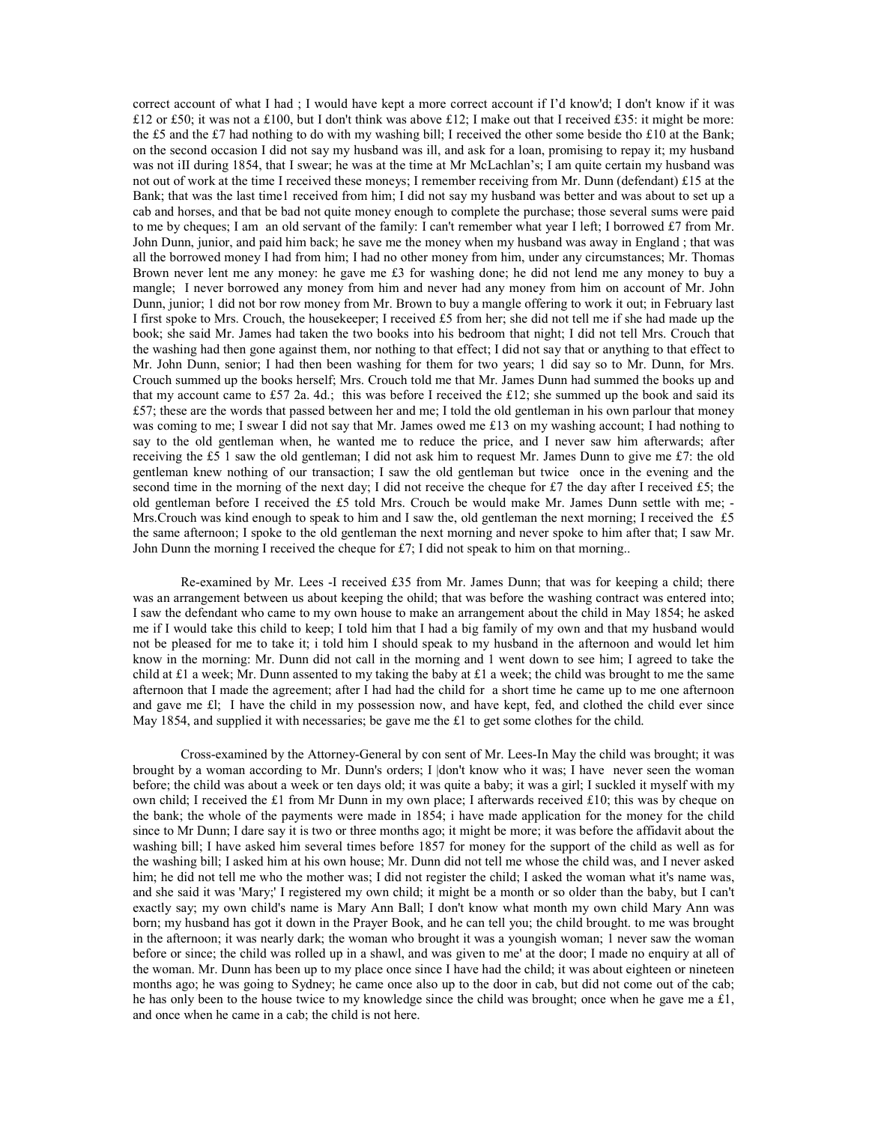correct account of what I had ; I would have kept a more correct account if I'd know'd; I don't know if it was £12 or £50; it was not a £100, but I don't think was above £12; I make out that I received £35; it might be more: the £5 and the £7 had nothing to do with my washing bill; I received the other some beside tho £10 at the Bank; on the second occasion I did not say my husband was ill, and ask for a loan, promising to repay it; my husband was not iII during 1854, that I swear; he was at the time at Mr McLachlan's; I am quite certain my husband was not out of work at the time I received these moneys; I remember receiving from Mr. Dunn (defendant) £15 at the Bank; that was the last time1 received from him; I did not say my husband was better and was about to set up a cab and horses, and that be bad not quite money enough to complete the purchase; those several sums were paid to me by cheques; I am an old servant of the family: I can't remember what year I left; I borrowed £7 from Mr. John Dunn, junior, and paid him back; he save me the money when my husband was away in England ; that was all the borrowed money I had from him; I had no other money from him, under any circumstances; Mr. Thomas Brown never lent me any money: he gave me £3 for washing done; he did not lend me any money to buy a mangle; I never borrowed any money from him and never had any money from him on account of Mr. John Dunn, junior; 1 did not bor row money from Mr. Brown to buy a mangle offering to work it out; in February last I first spoke to Mrs. Crouch, the housekeeper; I received £5 from her; she did not tell me if she had made up the book; she said Mr. James had taken the two books into his bedroom that night; I did not tell Mrs. Crouch that the washing had then gone against them, nor nothing to that effect; I did not say that or anything to that effect to Mr. John Dunn, senior; I had then been washing for them for two years; 1 did say so to Mr. Dunn, for Mrs. Crouch summed up the books herself; Mrs. Crouch told me that Mr. James Dunn had summed the books up and that my account came to £57 2a. 4d.; this was before I received the £12; she summed up the book and said its £57; these are the words that passed between her and me; I told the old gentleman in his own parlour that money was coming to me; I swear I did not say that Mr. James owed me £13 on my washing account; I had nothing to say to the old gentleman when, he wanted me to reduce the price, and I never saw him afterwards; after receiving the £5 1 saw the old gentleman; I did not ask him to request Mr. James Dunn to give me £7: the old gentleman knew nothing of our transaction; I saw the old gentleman but twice once in the evening and the second time in the morning of the next day; I did not receive the cheque for £7 the day after I received £5; the old gentleman before I received the £5 told Mrs. Crouch be would make Mr. James Dunn settle with me; - Mrs. Crouch was kind enough to speak to him and I saw the, old gentleman the next morning; I received the £5 the same afternoon; I spoke to the old gentleman the next morning and never spoke to him after that; I saw Mr. John Dunn the morning I received the cheque for £7; I did not speak to him on that morning..

Re-examined by Mr. Lees -I received £35 from Mr. James Dunn; that was for keeping a child; there was an arrangement between us about keeping the ohild; that was before the washing contract was entered into; I saw the defendant who came to my own house to make an arrangement about the child in May 1854; he asked me if I would take this child to keep; I told him that I had a big family of my own and that my husband would not be pleased for me to take it; i told him I should speak to my husband in the afternoon and would let him know in the morning: Mr. Dunn did not call in the morning and 1 went down to see him; I agreed to take the child at £1 a week; Mr. Dunn assented to my taking the baby at £1 a week; the child was brought to me the same afternoon that I made the agreement; after I had had the child for a short time he came up to me one afternoon and gave me £l; I have the child in my possession now, and have kept, fed, and clothed the child ever since May 1854, and supplied it with necessaries; be gave me the  $£1$  to get some clothes for the child.

Cross-examined by the Attorney-General by con sent of Mr. Lees-In May the child was brought; it was brought by a woman according to Mr. Dunn's orders; I |don't know who it was; I have never seen the woman before; the child was about a week or ten days old; it was quite a baby; it was a girl; I suckled it myself with my own child; I received the £1 from Mr Dunn in my own place; I afterwards received £10; this was by cheque on the bank; the whole of the payments were made in 1854; i have made application for the money for the child since to Mr Dunn; I dare say it is two or three months ago; it might be more; it was before the affidavit about the washing bill; I have asked him several times before 1857 for money for the support of the child as well as for the washing bill; I asked him at his own house; Mr. Dunn did not tell me whose the child was, and I never asked him; he did not tell me who the mother was; I did not register the child; I asked the woman what it's name was, and she said it was 'Mary;' I registered my own child; it might be a month or so older than the baby, but I can't exactly say; my own child's name is Mary Ann Ball; I don't know what month my own child Mary Ann was born; my husband has got it down in the Prayer Book, and he can tell you; the child brought. to me was brought in the afternoon; it was nearly dark; the woman who brought it was a youngish woman; 1 never saw the woman before or since; the child was rolled up in a shawl, and was given to me' at the door; I made no enquiry at all of the woman. Mr. Dunn has been up to my place once since I have had the child; it was about eighteen or nineteen months ago; he was going to Sydney; he came once also up to the door in cab, but did not come out of the cab; he has only been to the house twice to my knowledge since the child was brought; once when he gave me a £1, and once when he came in a cab; the child is not here.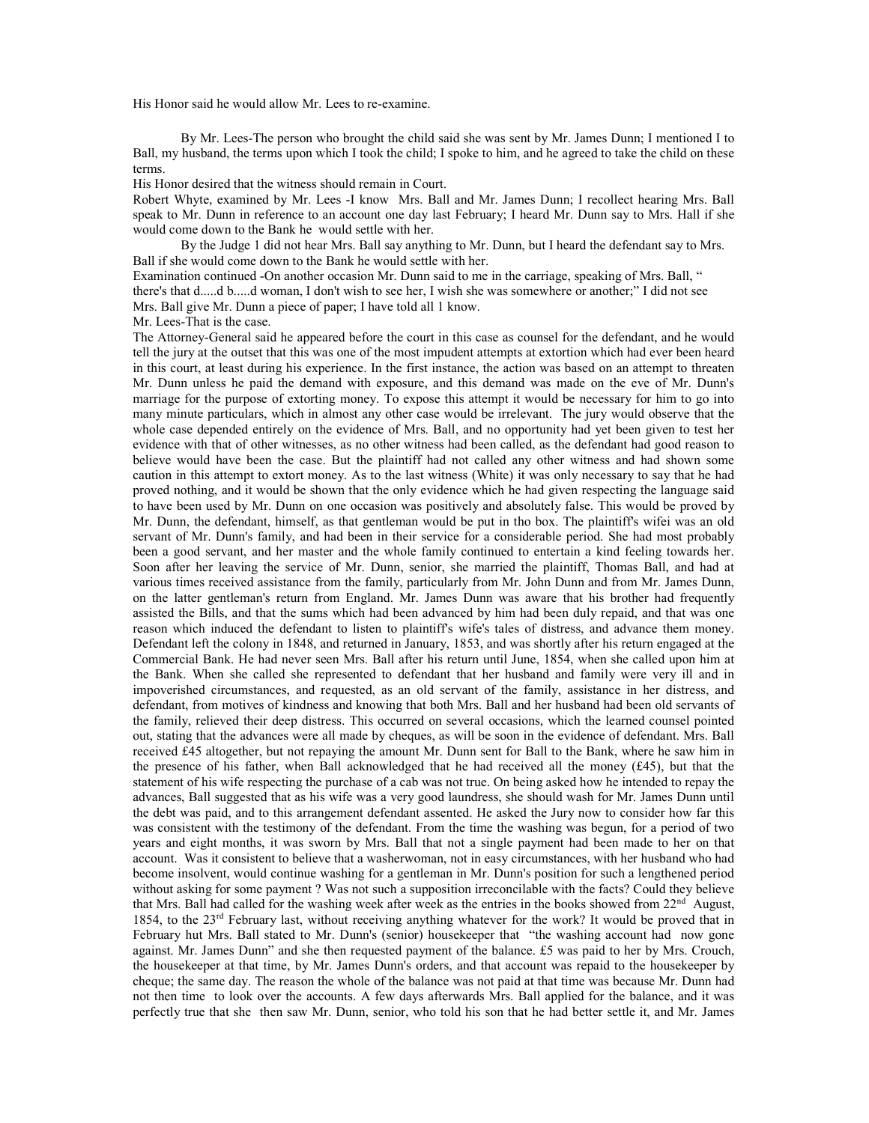His Honor said he would allow Mr. Lees to re-examine.

By Mr. Lees-The person who brought the child said she was sent by Mr. James Dunn; I mentioned I to Ball, my husband, the terms upon which I took the child; I spoke to him, and he agreed to take the child on these terms.

His Honor desired that the witness should remain in Court.

Robert Whyte, examined by Mr. Lees -I know Mrs. Ball and Mr. James Dunn; I recollect hearing Mrs. Ball speak to Mr. Dunn in reference to an account one day last February; I heard Mr. Dunn say to Mrs. Hall if she would come down to the Bank he would settle with her.

By the Judge 1 did not hear Mrs. Ball say anything to Mr. Dunn, but I heard the defendant say to Mrs. Ball if she would come down to the Bank he would settle with her.

Examination continued -On another occasion Mr. Dunn said to me in the carriage, speaking of Mrs. Ball, " there's that d.....d b.....d woman, I don't wish to see her, I wish she was somewhere or another;" I did not see Mrs. Ball give Mr. Dunn a piece of paper; I have told all 1 know.

Mr. Lees-That is the case.

The Attorney-General said he appeared before the court in this case as counsel for the defendant, and he would tell the jury at the outset that this was one of the most impudent attempts at extortion which had ever been heard in this court, at least during his experience. In the first instance, the action was based on an attempt to threaten Mr. Dunn unless he paid the demand with exposure, and this demand was made on the eve of Mr. Dunn's marriage for the purpose of extorting money. To expose this attempt it would be necessary for him to go into many minute particulars, which in almost any other case would be irrelevant. The jury would observe that the whole case depended entirely on the evidence of Mrs. Ball, and no opportunity had yet been given to test her evidence with that of other witnesses, as no other witness had been called, as the defendant had good reason to believe would have been the case. But the plaintiff had not called any other witness and had shown some caution in this attempt to extort money. As to the last witness (White) it was only necessary to say that he had proved nothing, and it would be shown that the only evidence which he had given respecting the language said to have been used by Mr. Dunn on one occasion was positively and absolutely false. This would be proved by Mr. Dunn, the defendant, himself, as that gentleman would be put in tho box. The plaintiff's wifei was an old servant of Mr. Dunn's family, and had been in their service for a considerable period. She had most probably been a good servant, and her master and the whole family continued to entertain a kind feeling towards her. Soon after her leaving the service of Mr. Dunn, senior, she married the plaintiff, Thomas Ball, and had at various times received assistance from the family, particularly from Mr. John Dunn and from Mr. James Dunn, on the latter gentleman's return from England. Mr. James Dunn was aware that his brother had frequently assisted the Bills, and that the sums which had been advanced by him had been duly repaid, and that was one reason which induced the defendant to listen to plaintiff's wife's tales of distress, and advance them money. Defendant left the colony in 1848, and returned in January, 1853, and was shortly after his return engaged at the Commercial Bank. He had never seen Mrs. Ball after his return until June, 1854, when she called upon him at the Bank. When she called she represented to defendant that her husband and family were very ill and in impoverished circumstances, and requested, as an old servant of the family, assistance in her distress, and defendant, from motives of kindness and knowing that both Mrs. Ball and her husband had been old servants of the family, relieved their deep distress. This occurred on several occasions, which the learned counsel pointed out, stating that the advances were all made by cheques, as will be soon in the evidence of defendant. Mrs. Ball received £45 altogether, but not repaying the amount Mr. Dunn sent for Ball to the Bank, where he saw him in the presence of his father, when Ball acknowledged that he had received all the money (£45), but that the statement of his wife respecting the purchase of a cab was not true. On being asked how he intended to repay the advances, Ball suggested that as his wife was a very good laundress, she should wash for Mr. James Dunn until the debt was paid, and to this arrangement defendant assented. He asked the Jury now to consider how far this was consistent with the testimony of the defendant. From the time the washing was begun, for a period of two years and eight months, it was sworn by Mrs. Ball that not a single payment had been made to her on that account. Was it consistent to believe that a washerwoman, not in easy circumstances, with her husband who had become insolvent, would continue washing for a gentleman in Mr. Dunn's position for such a lengthened period without asking for some payment ? Was not such a supposition irreconcilable with the facts? Could they believe that Mrs. Ball had called for the washing week after week as the entries in the books showed from 22<sup>nd</sup> August, 1854, to the 23rd February last, without receiving anything whatever for the work? It would be proved that in February hut Mrs. Ball stated to Mr. Dunn's (senior) housekeeper that "the washing account had now gone against. Mr. James Dunn" and she then requested payment of the balance.  $£5$  was paid to her by Mrs. Crouch, the housekeeper at that time, by Mr. James Dunn's orders, and that account was repaid to the housekeeper by cheque; the same day. The reason the whole of the balance was not paid at that time was because Mr. Dunn had not then time to look over the accounts. A few days afterwards Mrs. Ball applied for the balance, and it was perfectly true that she then saw Mr. Dunn, senior, who told his son that he had better settle it, and Mr. James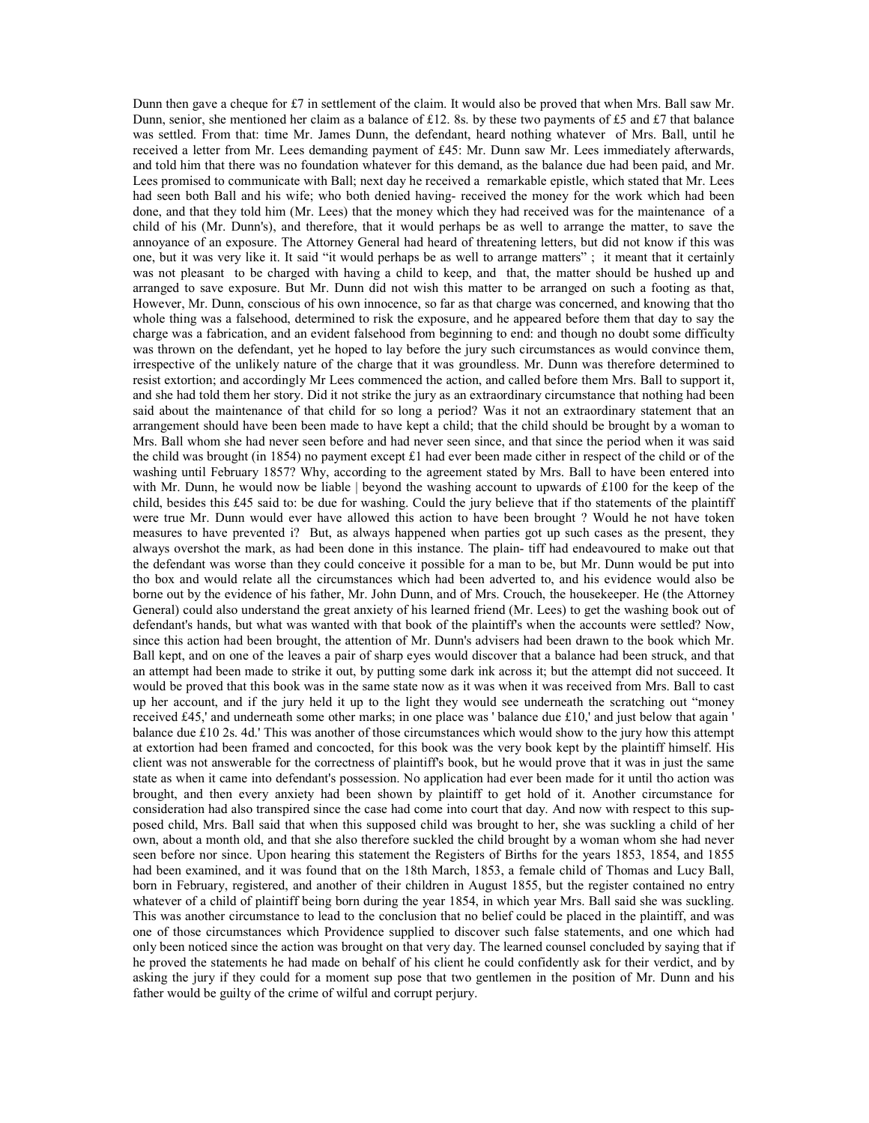Dunn then gave a cheque for £7 in settlement of the claim. It would also be proved that when Mrs. Ball saw Mr. Dunn, senior, she mentioned her claim as a balance of £12. 8s. by these two payments of £5 and £7 that balance was settled. From that: time Mr. James Dunn, the defendant, heard nothing whatever of Mrs. Ball, until he received a letter from Mr. Lees demanding payment of £45: Mr. Dunn saw Mr. Lees immediately afterwards, and told him that there was no foundation whatever for this demand, as the balance due had been paid, and Mr. Lees promised to communicate with Ball; next day he received a remarkable epistle, which stated that Mr. Lees had seen both Ball and his wife; who both denied having- received the money for the work which had been done, and that they told him (Mr. Lees) that the money which they had received was for the maintenance of a child of his (Mr. Dunn's), and therefore, that it would perhaps be as well to arrange the matter, to save the annoyance of an exposure. The Attorney General had heard of threatening letters, but did not know if this was one, but it was very like it. It said "it would perhaps be as well to arrange matters" ; it meant that it certainly was not pleasant to be charged with having a child to keep, and that, the matter should be hushed up and arranged to save exposure. But Mr. Dunn did not wish this matter to be arranged on such a footing as that, However, Mr. Dunn, conscious of his own innocence, so far as that charge was concerned, and knowing that tho whole thing was a falsehood, determined to risk the exposure, and he appeared before them that day to say the charge was a fabrication, and an evident falsehood from beginning to end: and though no doubt some difficulty was thrown on the defendant, yet he hoped to lay before the jury such circumstances as would convince them, irrespective of the unlikely nature of the charge that it was groundless. Mr. Dunn was therefore determined to resist extortion; and accordingly Mr Lees commenced the action, and called before them Mrs. Ball to support it, and she had told them her story. Did it not strike the jury as an extraordinary circumstance that nothing had been said about the maintenance of that child for so long a period? Was it not an extraordinary statement that an arrangement should have been been made to have kept a child; that the child should be brought by a woman to Mrs. Ball whom she had never seen before and had never seen since, and that since the period when it was said the child was brought (in 1854) no payment except £1 had ever been made cither in respect of the child or of the washing until February 1857? Why, according to the agreement stated by Mrs. Ball to have been entered into with Mr. Dunn, he would now be liable | beyond the washing account to upwards of £100 for the keep of the child, besides this £45 said to: be due for washing. Could the jury believe that if tho statements of the plaintiff were true Mr. Dunn would ever have allowed this action to have been brought ? Would he not have token measures to have prevented i? But, as always happened when parties got up such cases as the present, they always overshot the mark, as had been done in this instance. The plain- tiff had endeavoured to make out that the defendant was worse than they could conceive it possible for a man to be, but Mr. Dunn would be put into tho box and would relate all the circumstances which had been adverted to, and his evidence would also be borne out by the evidence of his father, Mr. John Dunn, and of Mrs. Crouch, the housekeeper. He (the Attorney General) could also understand the great anxiety of his learned friend (Mr. Lees) to get the washing book out of defendant's hands, but what was wanted with that book of the plaintiff's when the accounts were settled? Now, since this action had been brought, the attention of Mr. Dunn's advisers had been drawn to the book which Mr. Ball kept, and on one of the leaves a pair of sharp eyes would discover that a balance had been struck, and that an attempt had been made to strike it out, by putting some dark ink across it; but the attempt did not succeed. It would be proved that this book was in the same state now as it was when it was received from Mrs. Ball to cast up her account, and if the jury held it up to the light they would see underneath the scratching out "money received £45,' and underneath some other marks; in one place was ' balance due  $£10$ ,' and just below that again ' balance due £10 2s. 4d.' This was another of those circumstances which would show to the jury how this attempt at extortion had been framed and concocted, for this book was the very book kept by the plaintiff himself. His client was not answerable for the correctness of plaintiff's book, but he would prove that it was in just the same state as when it came into defendant's possession. No application had ever been made for it until tho action was brought, and then every anxiety had been shown by plaintiff to get hold of it. Another circumstance for consideration had also transpired since the case had come into court that day. And now with respect to this supposed child, Mrs. Ball said that when this supposed child was brought to her, she was suckling a child of her own, about a month old, and that she also therefore suckled the child brought by a woman whom she had never seen before nor since. Upon hearing this statement the Registers of Births for the years 1853, 1854, and 1855 had been examined, and it was found that on the 18th March, 1853, a female child of Thomas and Lucy Ball, born in February, registered, and another of their children in August 1855, but the register contained no entry whatever of a child of plaintiff being born during the year 1854, in which year Mrs. Ball said she was suckling. This was another circumstance to lead to the conclusion that no belief could be placed in the plaintiff, and was one of those circumstances which Providence supplied to discover such false statements, and one which had only been noticed since the action was brought on that very day. The learned counsel concluded by saying that if he proved the statements he had made on behalf of his client he could confidently ask for their verdict, and by asking the jury if they could for a moment sup pose that two gentlemen in the position of Mr. Dunn and his father would be guilty of the crime of wilful and corrupt perjury.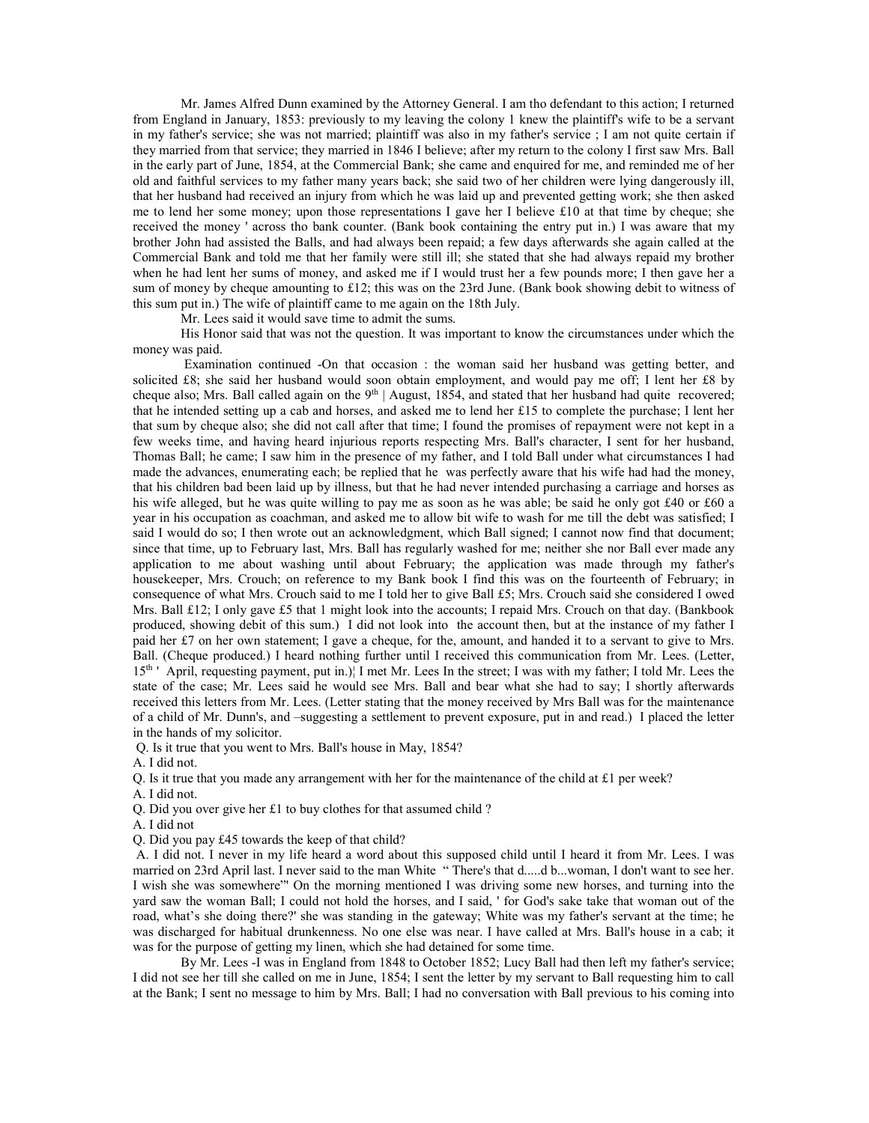Mr. James Alfred Dunn examined by the Attorney General. I am tho defendant to this action; I returned from England in January, 1853: previously to my leaving the colony 1 knew the plaintiff's wife to be a servant in my father's service; she was not married; plaintiff was also in my father's service ; I am not quite certain if they married from that service; they married in 1846 I believe; after my return to the colony I first saw Mrs. Ball in the early part of June, 1854, at the Commercial Bank; she came and enquired for me, and reminded me of her old and faithful services to my father many years back; she said two of her children were lying dangerously ill, that her husband had received an injury from which he was laid up and prevented getting work; she then asked me to lend her some money; upon those representations I gave her I believe £10 at that time by cheque; she received the money ' across tho bank counter. (Bank book containing the entry put in.) I was aware that my brother John had assisted the Balls, and had always been repaid; a few days afterwards she again called at the Commercial Bank and told me that her family were still ill; she stated that she had always repaid my brother when he had lent her sums of money, and asked me if I would trust her a few pounds more; I then gave her a sum of money by cheque amounting to £12; this was on the 23rd June. (Bank book showing debit to witness of this sum put in.) The wife of plaintiff came to me again on the 18th July.

Mr. Lees said it would save time to admit the sums.

His Honor said that was not the question. It was important to know the circumstances under which the money was paid.

 Examination continued -On that occasion : the woman said her husband was getting better, and solicited £8; she said her husband would soon obtain employment, and would pay me off; I lent her £8 by cheque also; Mrs. Ball called again on the 9<sup>th</sup> | August, 1854, and stated that her husband had quite recovered; that he intended setting up a cab and horses, and asked me to lend her £15 to complete the purchase; I lent her that sum by cheque also; she did not call after that time; I found the promises of repayment were not kept in a few weeks time, and having heard injurious reports respecting Mrs. Ball's character, I sent for her husband, Thomas Ball; he came; I saw him in the presence of my father, and I told Ball under what circumstances I had made the advances, enumerating each; be replied that he was perfectly aware that his wife had had the money, that his children bad been laid up by illness, but that he had never intended purchasing a carriage and horses as his wife alleged, but he was quite willing to pay me as soon as he was able; be said he only got £40 or £60 a year in his occupation as coachman, and asked me to allow bit wife to wash for me till the debt was satisfied; I said I would do so; I then wrote out an acknowledgment, which Ball signed; I cannot now find that document; since that time, up to February last, Mrs. Ball has regularly washed for me; neither she nor Ball ever made any application to me about washing until about February; the application was made through my father's housekeeper, Mrs. Crouch; on reference to my Bank book I find this was on the fourteenth of February; in consequence of what Mrs. Crouch said to me I told her to give Ball £5; Mrs. Crouch said she considered I owed Mrs. Ball £12; I only gave £5 that 1 might look into the accounts; I repaid Mrs. Crouch on that day. (Bankbook produced, showing debit of this sum.) I did not look into the account then, but at the instance of my father I paid her £7 on her own statement; I gave a cheque, for the, amount, and handed it to a servant to give to Mrs. Ball. (Cheque produced.) I heard nothing further until I received this communication from Mr. Lees. (Letter, 15th ' April, requesting payment, put in.)¦ I met Mr. Lees In the street; I was with my father; I told Mr. Lees the state of the case; Mr. Lees said he would see Mrs. Ball and bear what she had to say; I shortly afterwards received this letters from Mr. Lees. (Letter stating that the money received by Mrs Ball was for the maintenance of a child of Mr. Dunn's, and –suggesting a settlement to prevent exposure, put in and read.) I placed the letter in the hands of my solicitor.

Q. Is it true that you went to Mrs. Ball's house in May, 1854?

A. I did not.

Q. Is it true that you made any arrangement with her for the maintenance of the child at £1 per week?

A. I did not.

Q. Did you over give her £1 to buy clothes for that assumed child ?

A. I did not

Q. Did you pay £45 towards the keep of that child?

 A. I did not. I never in my life heard a word about this supposed child until I heard it from Mr. Lees. I was married on 23rd April last. I never said to the man White " There's that d.....d b...woman, I don't want to see her. I wish she was somewhere"' On the morning mentioned I was driving some new horses, and turning into the yard saw the woman Ball; I could not hold the horses, and I said, ' for God's sake take that woman out of the road, what's she doing there?' she was standing in the gateway; White was my father's servant at the time; he was discharged for habitual drunkenness. No one else was near. I have called at Mrs. Ball's house in a cab; it was for the purpose of getting my linen, which she had detained for some time.

By Mr. Lees -I was in England from 1848 to October 1852; Lucy Ball had then left my father's service; I did not see her till she called on me in June, 1854; I sent the letter by my servant to Ball requesting him to call at the Bank; I sent no message to him by Mrs. Ball; I had no conversation with Ball previous to his coming into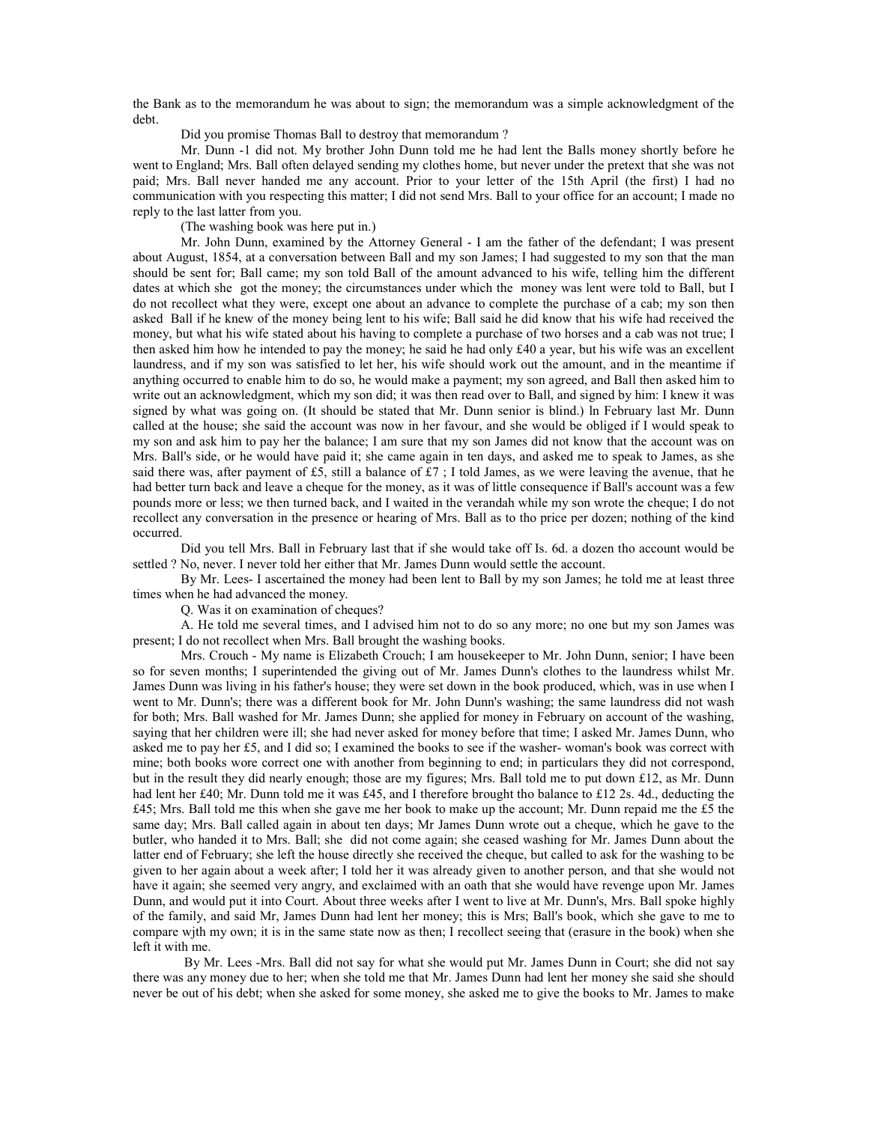the Bank as to the memorandum he was about to sign; the memorandum was a simple acknowledgment of the debt.

Did you promise Thomas Ball to destroy that memorandum ?

Mr. Dunn -1 did not. My brother John Dunn told me he had lent the Balls money shortly before he went to England; Mrs. Ball often delayed sending my clothes home, but never under the pretext that she was not paid; Mrs. Ball never handed me any account. Prior to your letter of the 15th April (the first) I had no communication with you respecting this matter; I did not send Mrs. Ball to your office for an account; I made no reply to the last latter from you.

(The washing book was here put in.)

Mr. John Dunn, examined by the Attorney General - I am the father of the defendant; I was present about August, 1854, at a conversation between Ball and my son James; I had suggested to my son that the man should be sent for; Ball came; my son told Ball of the amount advanced to his wife, telling him the different dates at which she got the money; the circumstances under which the money was lent were told to Ball, but I do not recollect what they were, except one about an advance to complete the purchase of a cab; my son then asked Ball if he knew of the money being lent to his wife; Ball said he did know that his wife had received the money, but what his wife stated about his having to complete a purchase of two horses and a cab was not true; I then asked him how he intended to pay the money; he said he had only £40 a year, but his wife was an excellent laundress, and if my son was satisfied to let her, his wife should work out the amount, and in the meantime if anything occurred to enable him to do so, he would make a payment; my son agreed, and Ball then asked him to write out an acknowledgment, which my son did; it was then read over to Ball, and signed by him: I knew it was signed by what was going on. (It should be stated that Mr. Dunn senior is blind.) ln February last Mr. Dunn called at the house; she said the account was now in her favour, and she would be obliged if I would speak to my son and ask him to pay her the balance; I am sure that my son James did not know that the account was on Mrs. Ball's side, or he would have paid it; she came again in ten days, and asked me to speak to James, as she said there was, after payment of £5, still a balance of £7; I told James, as we were leaving the avenue, that he had better turn back and leave a cheque for the money, as it was of little consequence if Ball's account was a few pounds more or less; we then turned back, and I waited in the verandah while my son wrote the cheque; I do not recollect any conversation in the presence or hearing of Mrs. Ball as to tho price per dozen; nothing of the kind occurred.

Did you tell Mrs. Ball in February last that if she would take off Is. 6d. a dozen tho account would be settled ? No, never. I never told her either that Mr. James Dunn would settle the account.

By Mr. Lees- I ascertained the money had been lent to Ball by my son James; he told me at least three times when he had advanced the money.

Q. Was it on examination of cheques?

A. He told me several times, and I advised him not to do so any more; no one but my son James was present; I do not recollect when Mrs. Ball brought the washing books.

Mrs. Crouch - My name is Elizabeth Crouch; I am housekeeper to Mr. John Dunn, senior; I have been so for seven months; I superintended the giving out of Mr. James Dunn's clothes to the laundress whilst Mr. James Dunn was living in his father's house; they were set down in the book produced, which, was in use when I went to Mr. Dunn's; there was a different book for Mr. John Dunn's washing; the same laundress did not wash for both; Mrs. Ball washed for Mr. James Dunn; she applied for money in February on account of the washing, saying that her children were ill; she had never asked for money before that time; I asked Mr. James Dunn, who asked me to pay her £5, and I did so; I examined the books to see if the washer- woman's book was correct with mine; both books wore correct one with another from beginning to end; in particulars they did not correspond, but in the result they did nearly enough; those are my figures; Mrs. Ball told me to put down £12, as Mr. Dunn had lent her £40; Mr. Dunn told me it was £45, and I therefore brought tho balance to £12 2s. 4d., deducting the £45; Mrs. Ball told me this when she gave me her book to make up the account; Mr. Dunn repaid me the £5 the same day; Mrs. Ball called again in about ten days; Mr James Dunn wrote out a cheque, which he gave to the butler, who handed it to Mrs. Ball; she did not come again; she ceased washing for Mr. James Dunn about the latter end of February; she left the house directly she received the cheque, but called to ask for the washing to be given to her again about a week after; I told her it was already given to another person, and that she would not have it again; she seemed very angry, and exclaimed with an oath that she would have revenge upon Mr. James Dunn, and would put it into Court. About three weeks after I went to live at Mr. Dunn's, Mrs. Ball spoke highly of the family, and said Mr, James Dunn had lent her money; this is Mrs; Ball's book, which she gave to me to compare wjth my own; it is in the same state now as then; I recollect seeing that (erasure in the book) when she left it with me.

 By Mr. Lees -Mrs. Ball did not say for what she would put Mr. James Dunn in Court; she did not say there was any money due to her; when she told me that Mr. James Dunn had lent her money she said she should never be out of his debt; when she asked for some money, she asked me to give the books to Mr. James to make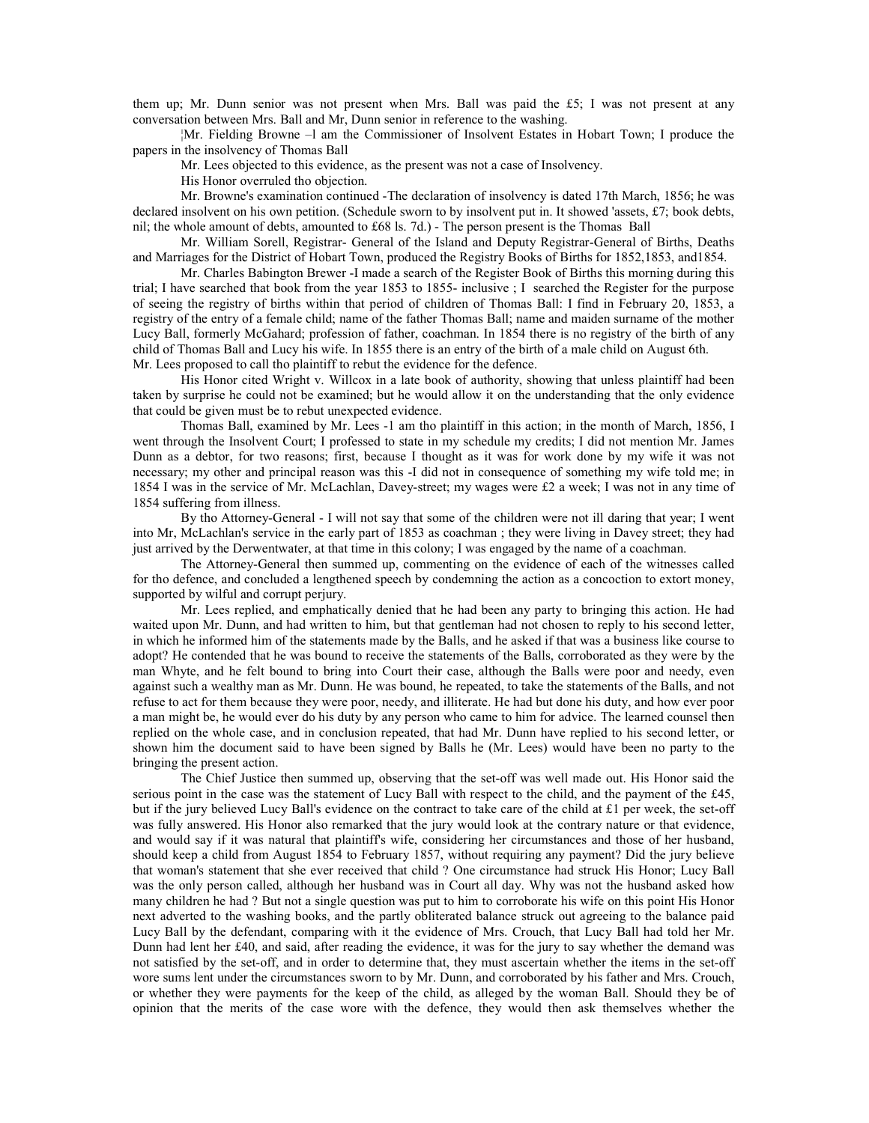them up; Mr. Dunn senior was not present when Mrs. Ball was paid the £5; I was not present at any conversation between Mrs. Ball and Mr, Dunn senior in reference to the washing.

¦Mr. Fielding Browne –l am the Commissioner of Insolvent Estates in Hobart Town; I produce the papers in the insolvency of Thomas Ball

Mr. Lees objected to this evidence, as the present was not a case of Insolvency.

His Honor overruled tho objection.

Mr. Browne's examination continued -The declaration of insolvency is dated 17th March, 1856; he was declared insolvent on his own petition. (Schedule sworn to by insolvent put in. It showed 'assets, £7; book debts, nil; the whole amount of debts, amounted to £68 ls. 7d.) - The person present is the Thomas Ball

Mr. William Sorell, Registrar- General of the Island and Deputy Registrar-General of Births, Deaths and Marriages for the District of Hobart Town, produced the Registry Books of Births for 1852,1853, and1854.

Mr. Charles Babington Brewer -I made a search of the Register Book of Births this morning during this trial; I have searched that book from the year 1853 to 1855- inclusive ; I searched the Register for the purpose of seeing the registry of births within that period of children of Thomas Ball: I find in February 20, 1853, a registry of the entry of a female child; name of the father Thomas Ball; name and maiden surname of the mother Lucy Ball, formerly McGahard; profession of father, coachman. In 1854 there is no registry of the birth of any child of Thomas Ball and Lucy his wife. In 1855 there is an entry of the birth of a male child on August 6th. Mr. Lees proposed to call tho plaintiff to rebut the evidence for the defence.

His Honor cited Wright v. Willcox in a late book of authority, showing that unless plaintiff had been taken by surprise he could not be examined; but he would allow it on the understanding that the only evidence that could be given must be to rebut unexpected evidence.

Thomas Ball, examined by Mr. Lees -1 am tho plaintiff in this action; in the month of March, 1856, I went through the Insolvent Court; I professed to state in my schedule my credits; I did not mention Mr. James Dunn as a debtor, for two reasons; first, because I thought as it was for work done by my wife it was not necessary; my other and principal reason was this -I did not in consequence of something my wife told me; in 1854 I was in the service of Mr. McLachlan, Davey-street; my wages were £2 a week; I was not in any time of 1854 suffering from illness.

By tho Attorney-General - I will not say that some of the children were not ill daring that year; I went into Mr, McLachlan's service in the early part of 1853 as coachman ; they were living in Davey street; they had just arrived by the Derwentwater, at that time in this colony; I was engaged by the name of a coachman.

The Attorney-General then summed up, commenting on the evidence of each of the witnesses called for tho defence, and concluded a lengthened speech by condemning the action as a concoction to extort money, supported by wilful and corrupt perjury.

Mr. Lees replied, and emphatically denied that he had been any party to bringing this action. He had waited upon Mr. Dunn, and had written to him, but that gentleman had not chosen to reply to his second letter, in which he informed him of the statements made by the Balls, and he asked if that was a business like course to adopt? He contended that he was bound to receive the statements of the Balls, corroborated as they were by the man Whyte, and he felt bound to bring into Court their case, although the Balls were poor and needy, even against such a wealthy man as Mr. Dunn. He was bound, he repeated, to take the statements of the Balls, and not refuse to act for them because they were poor, needy, and illiterate. He had but done his duty, and how ever poor a man might be, he would ever do his duty by any person who came to him for advice. The learned counsel then replied on the whole case, and in conclusion repeated, that had Mr. Dunn have replied to his second letter, or shown him the document said to have been signed by Balls he (Mr. Lees) would have been no party to the bringing the present action.

The Chief Justice then summed up, observing that the set-off was well made out. His Honor said the serious point in the case was the statement of Lucy Ball with respect to the child, and the payment of the £45, but if the jury believed Lucy Ball's evidence on the contract to take care of the child at £1 per week, the set-off was fully answered. His Honor also remarked that the jury would look at the contrary nature or that evidence, and would say if it was natural that plaintiff's wife, considering her circumstances and those of her husband, should keep a child from August 1854 to February 1857, without requiring any payment? Did the jury believe that woman's statement that she ever received that child ? One circumstance had struck His Honor; Lucy Ball was the only person called, although her husband was in Court all day. Why was not the husband asked how many children he had ? But not a single question was put to him to corroborate his wife on this point His Honor next adverted to the washing books, and the partly obliterated balance struck out agreeing to the balance paid Lucy Ball by the defendant, comparing with it the evidence of Mrs. Crouch, that Lucy Ball had told her Mr. Dunn had lent her £40, and said, after reading the evidence, it was for the jury to say whether the demand was not satisfied by the set-off, and in order to determine that, they must ascertain whether the items in the set-off wore sums lent under the circumstances sworn to by Mr. Dunn, and corroborated by his father and Mrs. Crouch, or whether they were payments for the keep of the child, as alleged by the woman Ball. Should they be of opinion that the merits of the case wore with the defence, they would then ask themselves whether the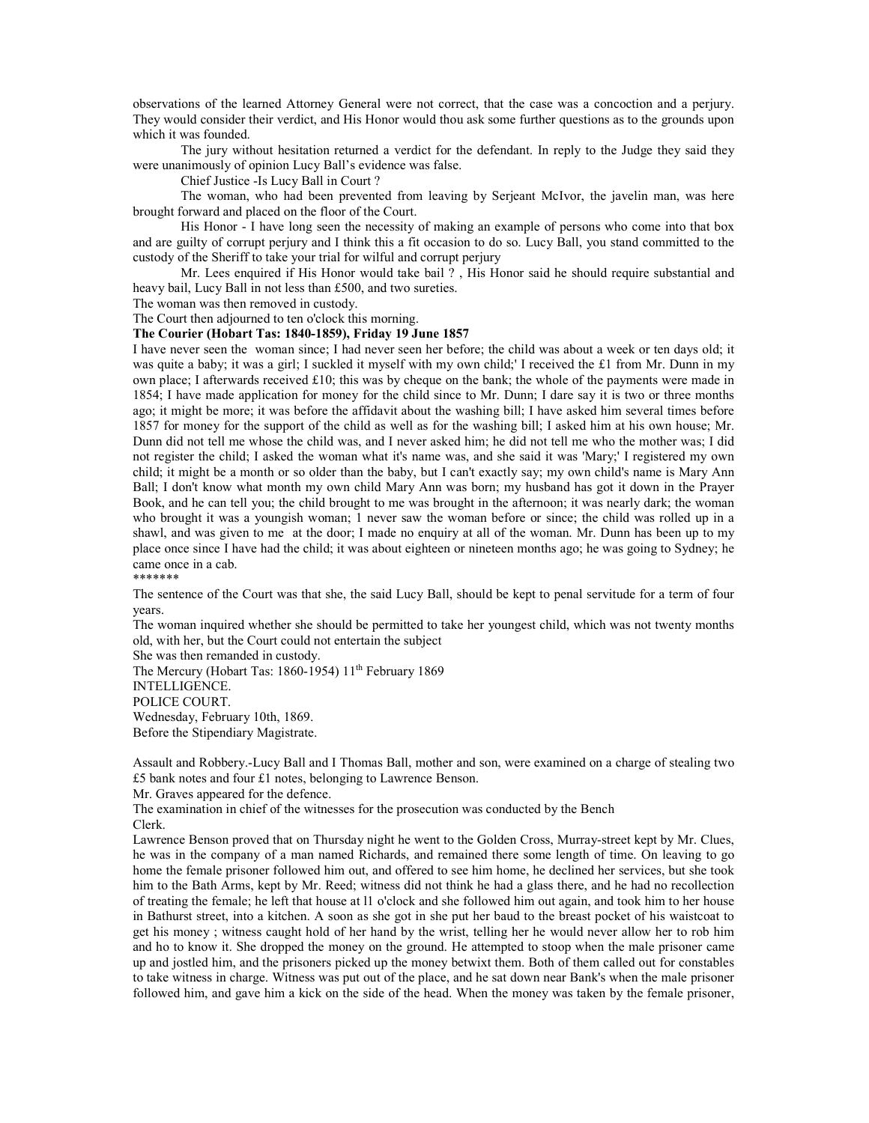observations of the learned Attorney General were not correct, that the case was a concoction and a perjury. They would consider their verdict, and His Honor would thou ask some further questions as to the grounds upon which it was founded.

The jury without hesitation returned a verdict for the defendant. In reply to the Judge they said they were unanimously of opinion Lucy Ball's evidence was false.

Chief Justice -Is Lucy Ball in Court ?

The woman, who had been prevented from leaving by Serjeant McIvor, the javelin man, was here brought forward and placed on the floor of the Court.

His Honor - I have long seen the necessity of making an example of persons who come into that box and are guilty of corrupt perjury and I think this a fit occasion to do so. Lucy Ball, you stand committed to the custody of the Sheriff to take your trial for wilful and corrupt perjury

Mr. Lees enquired if His Honor would take bail ? , His Honor said he should require substantial and heavy bail, Lucy Ball in not less than £500, and two sureties.

The woman was then removed in custody.

The Court then adjourned to ten o'clock this morning.

### The Courier (Hobart Tas: 1840-1859), Friday 19 June 1857

I have never seen the woman since; I had never seen her before; the child was about a week or ten days old; it was quite a baby; it was a girl; I suckled it myself with my own child;' I received the £1 from Mr. Dunn in my own place; I afterwards received £10; this was by cheque on the bank; the whole of the payments were made in 1854; I have made application for money for the child since to Mr. Dunn; I dare say it is two or three months ago; it might be more; it was before the affidavit about the washing bill; I have asked him several times before 1857 for money for the support of the child as well as for the washing bill; I asked him at his own house; Mr. Dunn did not tell me whose the child was, and I never asked him; he did not tell me who the mother was; I did not register the child; I asked the woman what it's name was, and she said it was 'Mary;' I registered my own child; it might be a month or so older than the baby, but I can't exactly say; my own child's name is Mary Ann Ball; I don't know what month my own child Mary Ann was born; my husband has got it down in the Prayer Book, and he can tell you; the child brought to me was brought in the afternoon; it was nearly dark; the woman who brought it was a youngish woman; 1 never saw the woman before or since; the child was rolled up in a shawl, and was given to me at the door; I made no enquiry at all of the woman. Mr. Dunn has been up to my place once since I have had the child; it was about eighteen or nineteen months ago; he was going to Sydney; he came once in a cab.

\*\*\*\*\*\*\*

The sentence of the Court was that she, the said Lucy Ball, should be kept to penal servitude for a term of four years.

The woman inquired whether she should be permitted to take her youngest child, which was not twenty months old, with her, but the Court could not entertain the subject

She was then remanded in custody.

The Mercury (Hobart Tas: 1860-1954)  $11<sup>th</sup>$  February 1869

INTELLIGENCE.

POLICE COURT.

Wednesday, February 10th, 1869. Before the Stipendiary Magistrate.

Assault and Robbery.-Lucy Ball and I Thomas Ball, mother and son, were examined on a charge of stealing two £5 bank notes and four £1 notes, belonging to Lawrence Benson.

Mr. Graves appeared for the defence.

The examination in chief of the witnesses for the prosecution was conducted by the Bench Clerk.

Lawrence Benson proved that on Thursday night he went to the Golden Cross, Murray-street kept by Mr. Clues, he was in the company of a man named Richards, and remained there some length of time. On leaving to go home the female prisoner followed him out, and offered to see him home, he declined her services, but she took him to the Bath Arms, kept by Mr. Reed; witness did not think he had a glass there, and he had no recollection of treating the female; he left that house at l1 o'clock and she followed him out again, and took him to her house in Bathurst street, into a kitchen. A soon as she got in she put her baud to the breast pocket of his waistcoat to get his money ; witness caught hold of her hand by the wrist, telling her he would never allow her to rob him and ho to know it. She dropped the money on the ground. He attempted to stoop when the male prisoner came up and jostled him, and the prisoners picked up the money betwixt them. Both of them called out for constables to take witness in charge. Witness was put out of the place, and he sat down near Bank's when the male prisoner followed him, and gave him a kick on the side of the head. When the money was taken by the female prisoner,